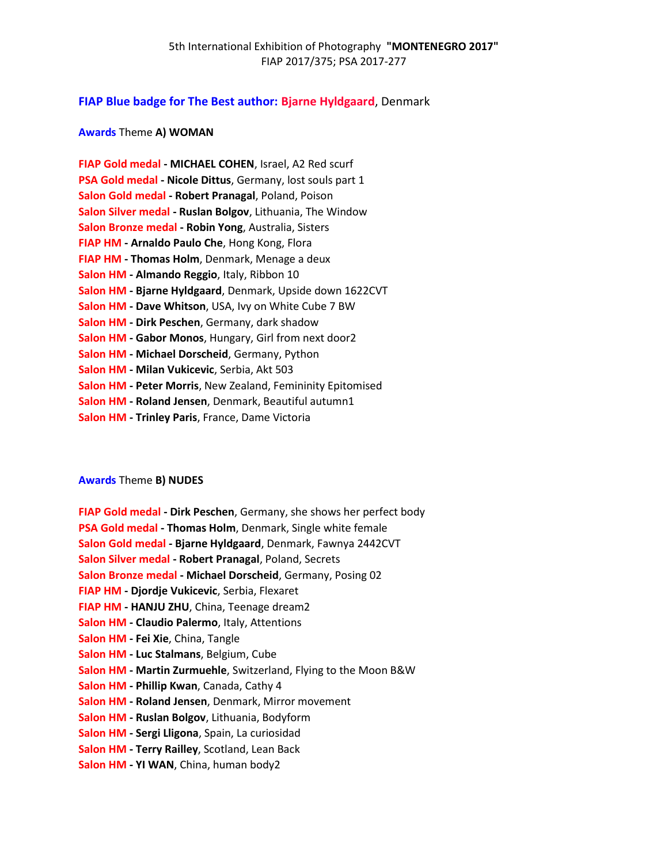# **FIAP Blue badge for The Best author: Bjarne Hyldgaard**, Denmark

# **Awards** Theme **A) WOMAN**

| FIAP Gold medal - MICHAEL COHEN, Israel, A2 Red scurf       |
|-------------------------------------------------------------|
| PSA Gold medal - Nicole Dittus, Germany, lost souls part 1  |
| Salon Gold medal - Robert Pranagal, Poland, Poison          |
| Salon Silver medal - Ruslan Bolgov, Lithuania, The Window   |
| Salon Bronze medal - Robin Yong, Australia, Sisters         |
| FIAP HM - Arnaldo Paulo Che, Hong Kong, Flora               |
| FIAP HM - Thomas Holm, Denmark, Menage a deux               |
| Salon HM - Almando Reggio, Italy, Ribbon 10                 |
| Salon HM - Bjarne Hyldgaard, Denmark, Upside down 1622CVT   |
| Salon HM - Dave Whitson, USA, Ivy on White Cube 7 BW        |
| Salon HM - Dirk Peschen, Germany, dark shadow               |
| Salon HM - Gabor Monos, Hungary, Girl from next door2       |
| Salon HM - Michael Dorscheid, Germany, Python               |
| Salon HM - Milan Vukicevic, Serbia, Akt 503                 |
| Salon HM - Peter Morris, New Zealand, Femininity Epitomised |
| Salon HM - Roland Jensen, Denmark, Beautiful autumn1        |
| Salon HM - Trinley Paris, France, Dame Victoria             |
|                                                             |

## **Awards** Theme **B) NUDES**

| FIAP Gold medal - Dirk Peschen, Germany, she shows her perfect body<br>PSA Gold medal - Thomas Holm, Denmark, Single white female<br>Salon Gold medal - Bjarne Hyldgaard, Denmark, Fawnya 2442CVT<br>Salon Silver medal - Robert Pranagal, Poland, Secrets<br>Salon Bronze medal - Michael Dorscheid, Germany, Posing 02 |
|--------------------------------------------------------------------------------------------------------------------------------------------------------------------------------------------------------------------------------------------------------------------------------------------------------------------------|
| <b>FIAP HM - Djordje Vukicevic, Serbia, Flexaret</b>                                                                                                                                                                                                                                                                     |
| FIAP HM - HANJU ZHU, China, Teenage dream2                                                                                                                                                                                                                                                                               |
| <b>Salon HM - Claudio Palermo, Italy, Attentions</b>                                                                                                                                                                                                                                                                     |
| Salon HM - Fei Xie, China, Tangle                                                                                                                                                                                                                                                                                        |
| Salon HM - Luc Stalmans, Belgium, Cube                                                                                                                                                                                                                                                                                   |
| Salon HM - Martin Zurmuehle, Switzerland, Flying to the Moon B&W                                                                                                                                                                                                                                                         |
| Salon HM - Phillip Kwan, Canada, Cathy 4                                                                                                                                                                                                                                                                                 |
| Salon HM - Roland Jensen, Denmark, Mirror movement                                                                                                                                                                                                                                                                       |
| Salon HM - Ruslan Bolgov, Lithuania, Bodyform                                                                                                                                                                                                                                                                            |
| Salon HM - Sergi Lligona, Spain, La curiosidad                                                                                                                                                                                                                                                                           |
| Salon HM - Terry Railley, Scotland, Lean Back                                                                                                                                                                                                                                                                            |
| Salon HM - YI WAN, China, human body2                                                                                                                                                                                                                                                                                    |
|                                                                                                                                                                                                                                                                                                                          |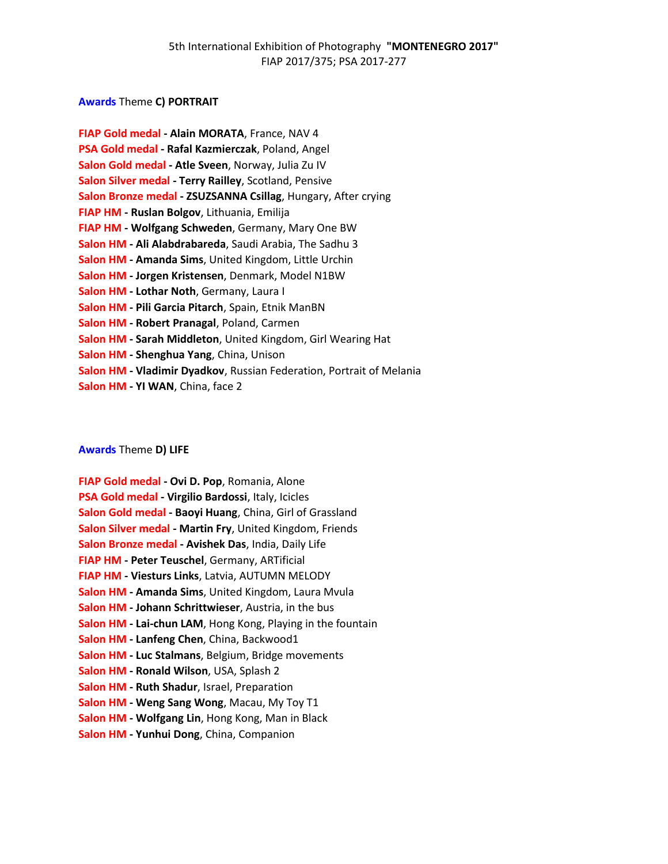# **Awards** Theme **C) PORTRAIT**

# **Awards** Theme **D) LIFE**

| FIAP Gold medal - Ovi D. Pop, Romania, Alone                |
|-------------------------------------------------------------|
| PSA Gold medal - Virgilio Bardossi, Italy, Icicles          |
| Salon Gold medal - Baoyi Huang, China, Girl of Grassland    |
| Salon Silver medal - Martin Fry, United Kingdom, Friends    |
| Salon Bronze medal - Avishek Das, India, Daily Life         |
| FIAP HM - Peter Teuschel, Germany, ARTificial               |
| FIAP HM - Viesturs Links, Latvia, AUTUMN MELODY             |
| Salon HM - Amanda Sims, United Kingdom, Laura Mvula         |
| Salon HM - Johann Schrittwieser, Austria, in the bus        |
| Salon HM - Lai-chun LAM, Hong Kong, Playing in the fountain |
| Salon HM - Lanfeng Chen, China, Backwood1                   |
| Salon HM - Luc Stalmans, Belgium, Bridge movements          |
| Salon HM - Ronald Wilson, USA, Splash 2                     |
| Salon HM - Ruth Shadur, Israel, Preparation                 |
| Salon HM - Weng Sang Wong, Macau, My Toy T1                 |
| Salon HM - Wolfgang Lin, Hong Kong, Man in Black            |
| Salon HM - Yunhui Dong, China, Companion                    |
|                                                             |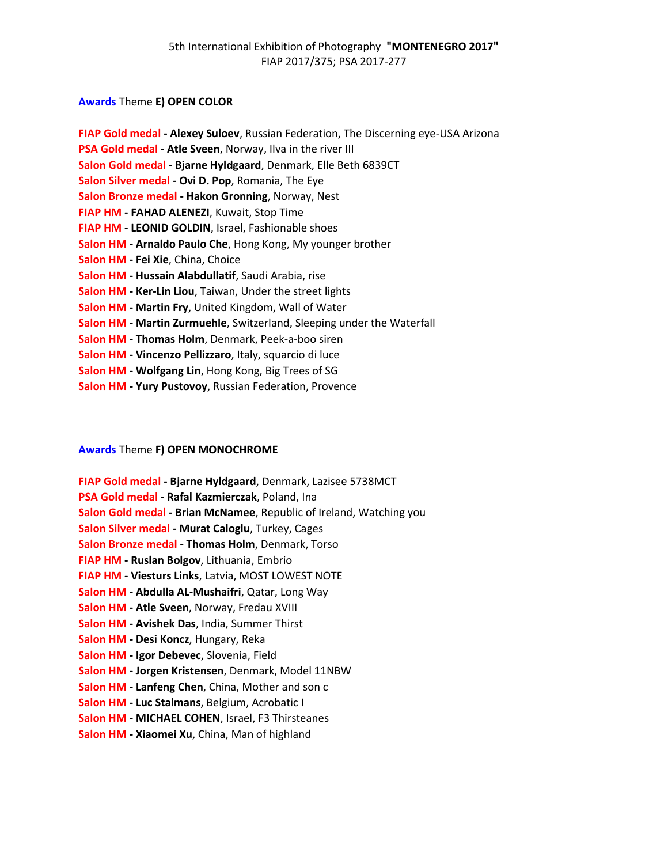# **Awards** Theme **E) OPEN COLOR**

| FIAP Gold medal - Alexey Suloev, Russian Federation, The Discerning eye-USA Arizona |
|-------------------------------------------------------------------------------------|
| PSA Gold medal - Atle Sveen, Norway, Ilva in the river III                          |
| Salon Gold medal - Bjarne Hyldgaard, Denmark, Elle Beth 6839CT                      |
| Salon Silver medal - Ovi D. Pop, Romania, The Eye                                   |
| Salon Bronze medal - Hakon Gronning, Norway, Nest                                   |
| FIAP HM - FAHAD ALENEZI, Kuwait, Stop Time                                          |
| FIAP HM - LEONID GOLDIN, Israel, Fashionable shoes                                  |
| Salon HM - Arnaldo Paulo Che, Hong Kong, My younger brother                         |
| Salon HM - Fei Xie, China, Choice                                                   |
| Salon HM - Hussain Alabdullatif, Saudi Arabia, rise                                 |
| Salon HM - Ker-Lin Liou, Taiwan, Under the street lights                            |
| Salon HM - Martin Fry, United Kingdom, Wall of Water                                |
| Salon HM - Martin Zurmuehle, Switzerland, Sleeping under the Waterfall              |
| Salon HM - Thomas Holm, Denmark, Peek-a-boo siren                                   |
| Salon HM - Vincenzo Pellizzaro, Italy, squarcio di luce                             |
| Salon HM - Wolfgang Lin, Hong Kong, Big Trees of SG                                 |
| Salon HM - Yury Pustovoy, Russian Federation, Provence                              |

# **Awards** Theme **F) OPEN MONOCHROME**

| <b>FIAP Gold medal - Bjarne Hyldgaard, Denmark, Lazisee 5738MCT</b> |
|---------------------------------------------------------------------|
| PSA Gold medal - Rafal Kazmierczak, Poland, Ina                     |
| Salon Gold medal - Brian McNamee, Republic of Ireland, Watching you |
| Salon Silver medal - Murat Caloglu, Turkey, Cages                   |
| Salon Bronze medal - Thomas Holm, Denmark, Torso                    |
| FIAP HM - Ruslan Bolgov, Lithuania, Embrio                          |
| FIAP HM - Viesturs Links, Latvia, MOST LOWEST NOTE                  |
| Salon HM - Abdulla AL-Mushaifri, Qatar, Long Way                    |
| Salon HM - Atle Sveen, Norway, Fredau XVIII                         |
| Salon HM - Avishek Das, India, Summer Thirst                        |
| Salon HM - Desi Koncz, Hungary, Reka                                |
| Salon HM - Igor Debevec, Slovenia, Field                            |
| Salon HM - Jorgen Kristensen, Denmark, Model 11NBW                  |
| Salon HM - Lanfeng Chen, China, Mother and son c                    |
| Salon HM - Luc Stalmans, Belgium, Acrobatic I                       |
| Salon HM - MICHAEL COHEN, Israel, F3 Thirsteanes                    |
| Salon HM - Xiaomei Xu, China, Man of highland                       |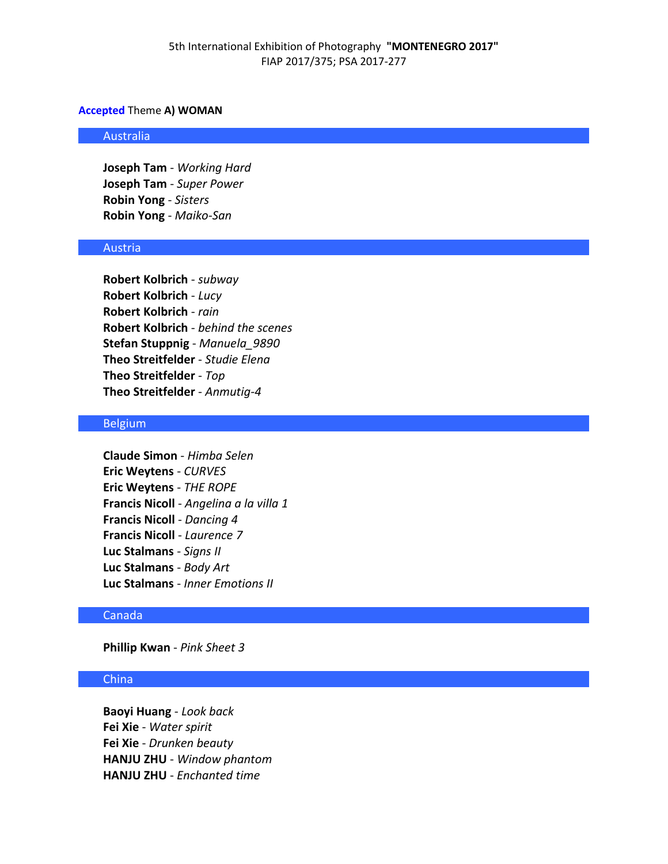### **Accepted** Theme **A) WOMAN**

#### Australia

**Joseph Tam** - *Working Hard* **Joseph Tam** - *Super Power* **Robin Yong** - *Sisters* **Robin Yong** - *Maiko-San*

#### Austria

**Robert Kolbrich** - *subway* **Robert Kolbrich** - *Lucy* **Robert Kolbrich** - *rain* **Robert Kolbrich** - *behind the scenes* **Stefan Stuppnig** - *Manuela\_9890* **Theo Streitfelder** - *Studie Elena* **Theo Streitfelder** - *Top* **Theo Streitfelder** - *Anmutig-4*

### Belgium

**Claude Simon** - *Himba Selen* **Eric Weytens** - *CURVES* **Eric Weytens** - *THE ROPE* **Francis Nicoll** - *Angelina a la villa 1* **Francis Nicoll** - *Dancing 4* **Francis Nicoll** - *Laurence 7* **Luc Stalmans** - *Signs II* **Luc Stalmans** - *Body Art* **Luc Stalmans** - *Inner Emotions II*

### Canada

## **Phillip Kwan** - *Pink Sheet 3*

## China

**Baoyi Huang** - *Look back* **Fei Xie** - *Water spirit* **Fei Xie** - *Drunken beauty* **HANJU ZHU** - *Window phantom* **HANJU ZHU** - *Enchanted time*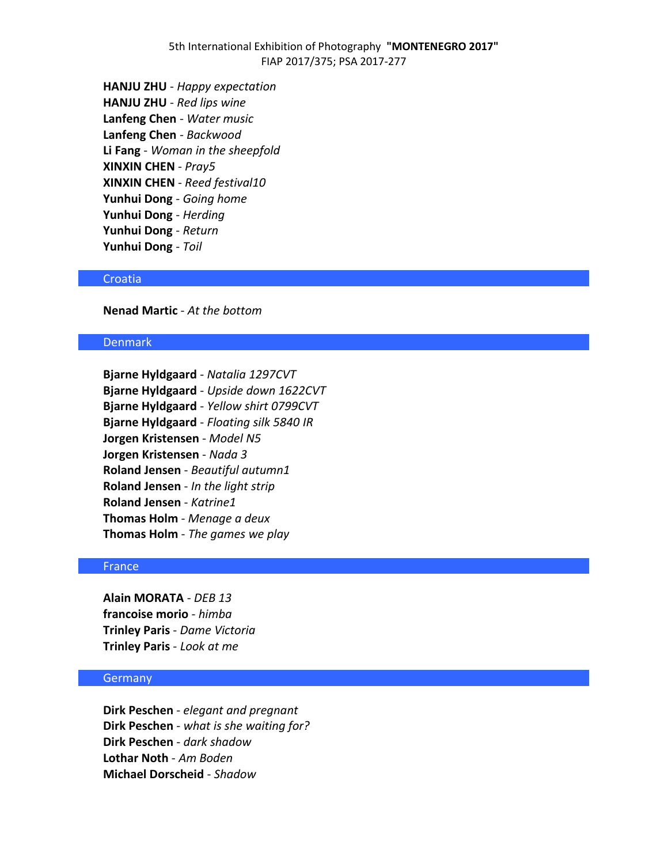## 5th International Exhibition of Photography **"MONTENEGRO 2017"** FIAP 2017/375; PSA 2017-277

**HANJU ZHU** - *Happy expectation* **HANJU ZHU** - *Red lips wine* **Lanfeng Chen** - *Water music* **Lanfeng Chen** - *Backwood* **Li Fang** - *Woman in the sheepfold* **XINXIN CHEN** - *Pray5* **XINXIN CHEN** - *Reed festival10* **Yunhui Dong** - *Going home* **Yunhui Dong** - *Herding* **Yunhui Dong** - *Return* **Yunhui Dong** - *Toil*

#### Croatia

**Nenad Martic** - *At the bottom*

### Denmark

**Bjarne Hyldgaard** - *Natalia 1297CVT* **Bjarne Hyldgaard** - *Upside down 1622CVT* **Bjarne Hyldgaard** - *Yellow shirt 0799CVT* **Bjarne Hyldgaard** - *Floating silk 5840 IR* **Jorgen Kristensen** - *Model N5* **Jorgen Kristensen** - *Nada 3* **Roland Jensen** - *Beautiful autumn1* **Roland Jensen** - *In the light strip* **Roland Jensen** - *Katrine1* **Thomas Holm** - *Menage a deux* **Thomas Holm** - *The games we play*

## **France**

**Alain MORATA** - *DEB 13* **francoise morio** - *himba* **Trinley Paris** - *Dame Victoria* **Trinley Paris** - *Look at me*

### Germany

**Dirk Peschen** - *elegant and pregnant* **Dirk Peschen** - *what is she waiting for?* **Dirk Peschen** - *dark shadow* **Lothar Noth** - *Am Boden* **Michael Dorscheid** - *Shadow*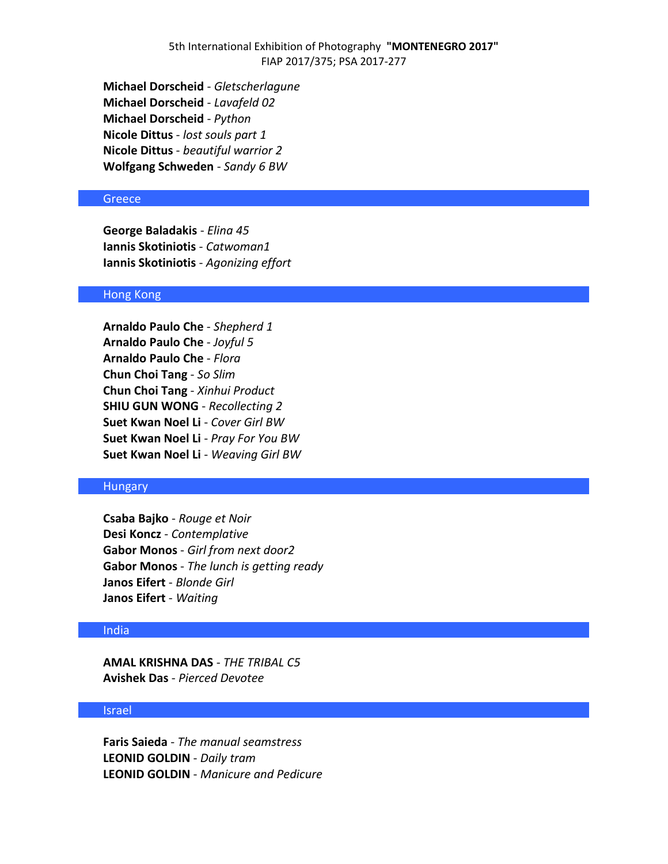**Michael Dorscheid** - *Gletscherlagune* **Michael Dorscheid** - *Lavafeld 02* **Michael Dorscheid** - *Python* **Nicole Dittus** - *lost souls part 1* **Nicole Dittus** - *beautiful warrior 2* **Wolfgang Schweden** - *Sandy 6 BW*

#### **Greece**

**George Baladakis** - *Elina 45* **Iannis Skotiniotis** - *Catwoman1* **Iannis Skotiniotis** - *Agonizing effort*

## Hong Kong

**Arnaldo Paulo Che** - *Shepherd 1* **Arnaldo Paulo Che** - *Joyful 5* **Arnaldo Paulo Che** - *Flora* **Chun Choi Tang** - *So Slim* **Chun Choi Tang** - *Xinhui Product* **SHIU GUN WONG** - *Recollecting 2* **Suet Kwan Noel Li** - *Cover Girl BW* **Suet Kwan Noel Li** - *Pray For You BW* **Suet Kwan Noel Li** - *Weaving Girl BW*

### **Hungary**

**Csaba Bajko** - *Rouge et Noir* **Desi Koncz** - *Contemplative* **Gabor Monos** - *Girl from next door2* **Gabor Monos** - *The lunch is getting ready* **Janos Eifert** - *Blonde Girl* **Janos Eifert** - *Waiting*

#### India

**AMAL KRISHNA DAS** - *THE TRIBAL C5* **Avishek Das** - *Pierced Devotee*

### Israel

**Faris Saieda** - *The manual seamstress* **LEONID GOLDIN** - *Daily tram* **LEONID GOLDIN** - *Manicure and Pedicure*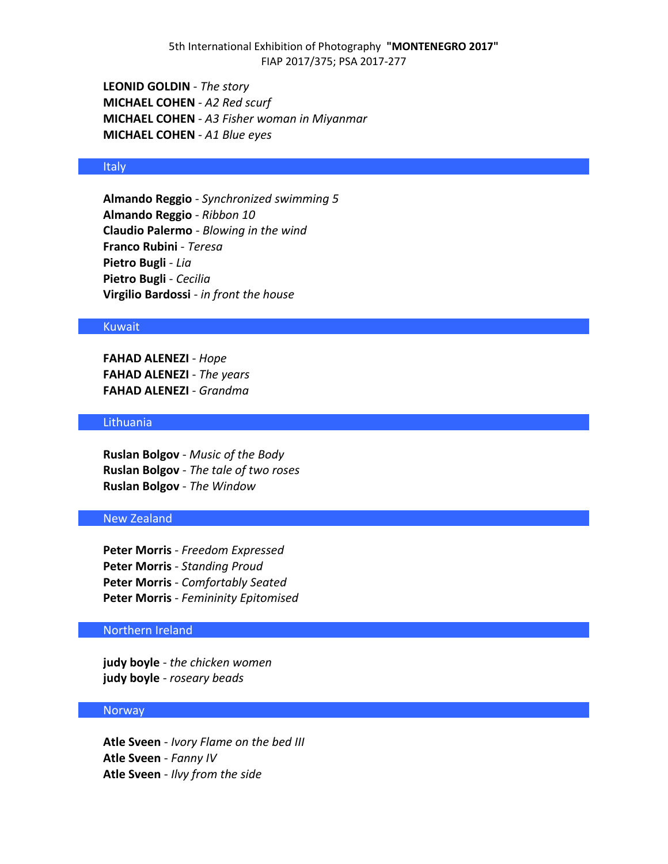**LEONID GOLDIN** - *The story* **MICHAEL COHEN** - *A2 Red scurf* **MICHAEL COHEN** - *A3 Fisher woman in Miyanmar* **MICHAEL COHEN** - *A1 Blue eyes*

### Italy

**Almando Reggio** - *Synchronized swimming 5* **Almando Reggio** - *Ribbon 10* **Claudio Palermo** - *Blowing in the wind* **Franco Rubini** - *Teresa* **Pietro Bugli** - *Lia* **Pietro Bugli** - *Cecilia* **Virgilio Bardossi** - *in front the house*

### Kuwait

**FAHAD ALENEZI** - *Hope* **FAHAD ALENEZI** - *The years* **FAHAD ALENEZI** - *Grandma*

## Lithuania

**Ruslan Bolgov** - *Music of the Body* **Ruslan Bolgov** - *The tale of two roses* **Ruslan Bolgov** - *The Window*

### New Zealand

**Peter Morris** - *Freedom Expressed* **Peter Morris** - *Standing Proud* **Peter Morris** - *Comfortably Seated* **Peter Morris** - *Femininity Epitomised*

## Northern Ireland

**judy boyle** - *the chicken women* **judy boyle** - *roseary beads*

#### Norway

**Atle Sveen** - *Ivory Flame on the bed III* **Atle Sveen** - *Fanny IV* **Atle Sveen** - *Ilvy from the side*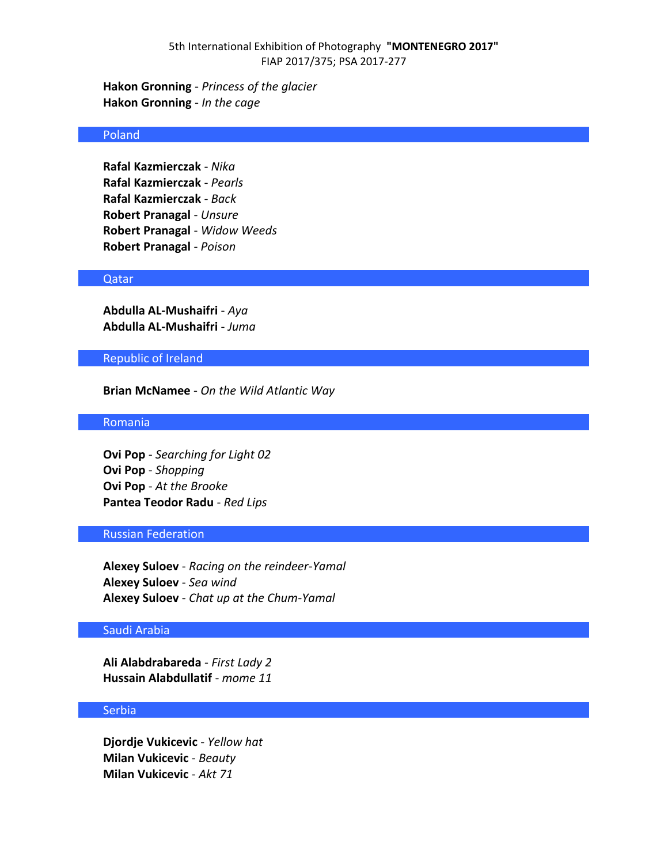**Hakon Gronning** - *Princess of the glacier* **Hakon Gronning** - *In the cage*

### Poland

**Rafal Kazmierczak** - *Nika* **Rafal Kazmierczak** - *Pearls* **Rafal Kazmierczak** - *Back* **Robert Pranagal** - *Unsure* **Robert Pranagal** - *Widow Weeds* **Robert Pranagal** - *Poison*

#### Qatar

**Abdulla AL-Mushaifri** - *Aya* **Abdulla AL-Mushaifri** - *Juma*

### Republic of Ireland

**Brian McNamee** - *On the Wild Atlantic Way*

### Romania

**Ovi Pop** - *Searching for Light 02* **Ovi Pop** - *Shopping* **Ovi Pop** - *At the Brooke* **Pantea Teodor Radu** - *Red Lips*

## Russian Federation

**Alexey Suloev** - *Racing on the reindeer-Yamal* **Alexey Suloev** - *Sea wind* **Alexey Suloev** - *Chat up at the Chum-Yamal*

## Saudi Arabia

**Ali Alabdrabareda** - *First Lady 2* **Hussain Alabdullatif** - *mome 11*

### **Serbia**

**Djordje Vukicevic** - *Yellow hat* **Milan Vukicevic** - *Beauty* **Milan Vukicevic** - *Akt 71*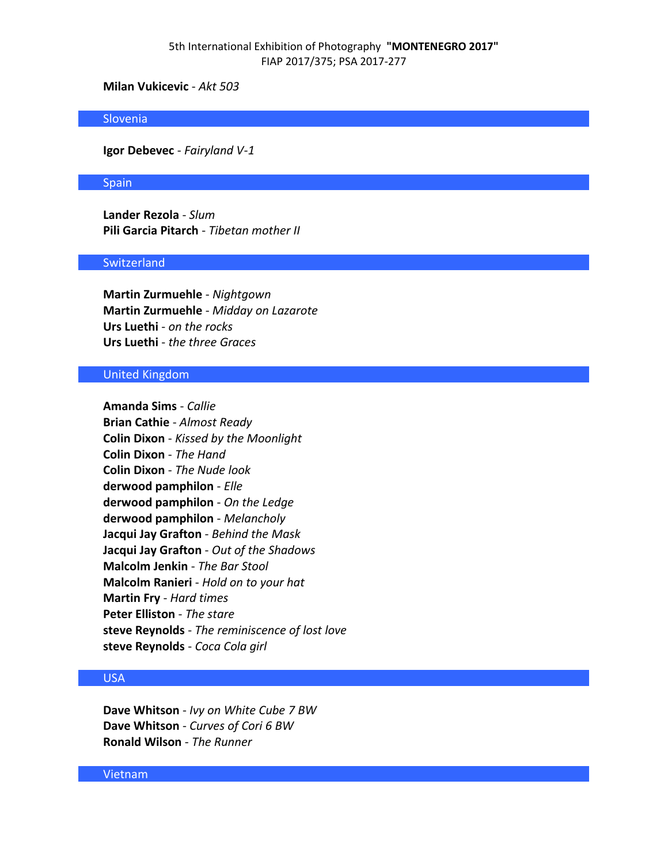## 5th International Exhibition of Photography **"MONTENEGRO 2017"** FIAP 2017/375; PSA 2017-277

## **Milan Vukicevic** - *Akt 503*

#### Slovenia

**Igor Debevec** - *Fairyland V-1*

#### **Spain**

**Lander Rezola** - *Slum* **Pili Garcia Pitarch** - *Tibetan mother II*

### **Switzerland**

**Martin Zurmuehle** - *Nightgown* **Martin Zurmuehle** - *Midday on Lazarote* **Urs Luethi** - *on the rocks* **Urs Luethi** - *the three Graces*

### United Kingdom

**Amanda Sims** - *Callie* **Brian Cathie** - *Almost Ready* **Colin Dixon** - *Kissed by the Moonlight* **Colin Dixon** - *The Hand* **Colin Dixon** - *The Nude look* **derwood pamphilon** - *Elle* **derwood pamphilon** - *On the Ledge* **derwood pamphilon** - *Melancholy* **Jacqui Jay Grafton** - *Behind the Mask* **Jacqui Jay Grafton** - *Out of the Shadows* **Malcolm Jenkin** - *The Bar Stool* **Malcolm Ranieri** - *Hold on to your hat* **Martin Fry** - *Hard times* **Peter Elliston** - *The stare* **steve Reynolds** - *The reminiscence of lost love* **steve Reynolds** - *Coca Cola girl*

# USA

**Dave Whitson** - *Ivy on White Cube 7 BW* **Dave Whitson** - *Curves of Cori 6 BW* **Ronald Wilson** - *The Runner*

### Vietnam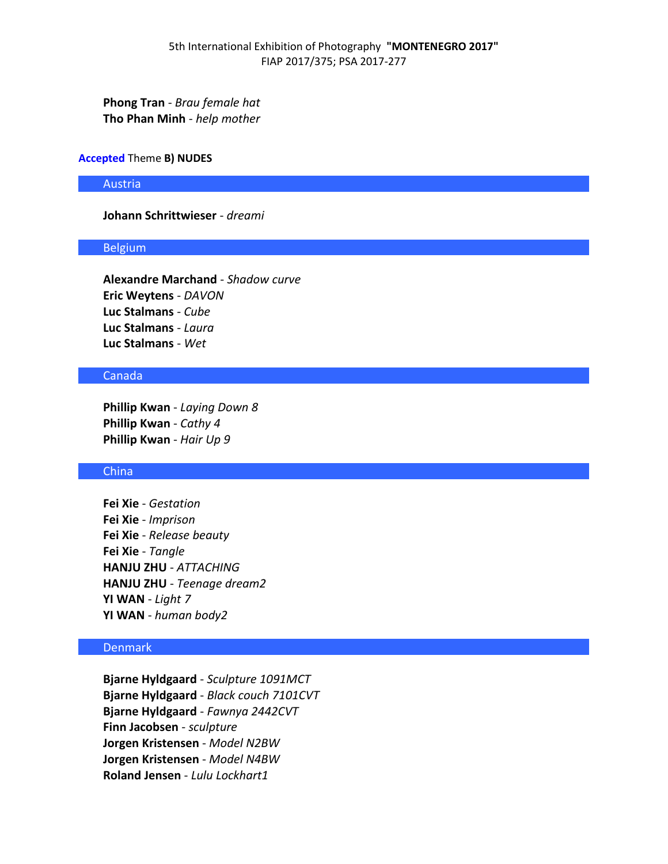**Phong Tran** - *Brau female hat* **Tho Phan Minh** - *help mother*

#### **Accepted** Theme **B) NUDES**

Austria

## **Johann Schrittwieser** - *dreami*

#### Belgium

**Alexandre Marchand** - *Shadow curve* **Eric Weytens** - *DAVON* **Luc Stalmans** - *Cube* **Luc Stalmans** - *Laura* **Luc Stalmans** - *Wet*

## Canada

**Phillip Kwan** - *Laying Down 8* **Phillip Kwan** - *Cathy 4* **Phillip Kwan** - *Hair Up 9*

### China

**Fei Xie** - *Gestation* **Fei Xie** - *Imprison* **Fei Xie** - *Release beauty* **Fei Xie** - *Tangle* **HANJU ZHU** - *ATTACHING* **HANJU ZHU** - *Teenage dream2* **YI WAN** - *Light 7* **YI WAN** - *human body2*

## Denmark

**Bjarne Hyldgaard** - *Sculpture 1091MCT* **Bjarne Hyldgaard** - *Black couch 7101CVT* **Bjarne Hyldgaard** - *Fawnya 2442CVT* **Finn Jacobsen** - *sculpture* **Jorgen Kristensen** - *Model N2BW* **Jorgen Kristensen** - *Model N4BW* **Roland Jensen** - *Lulu Lockhart1*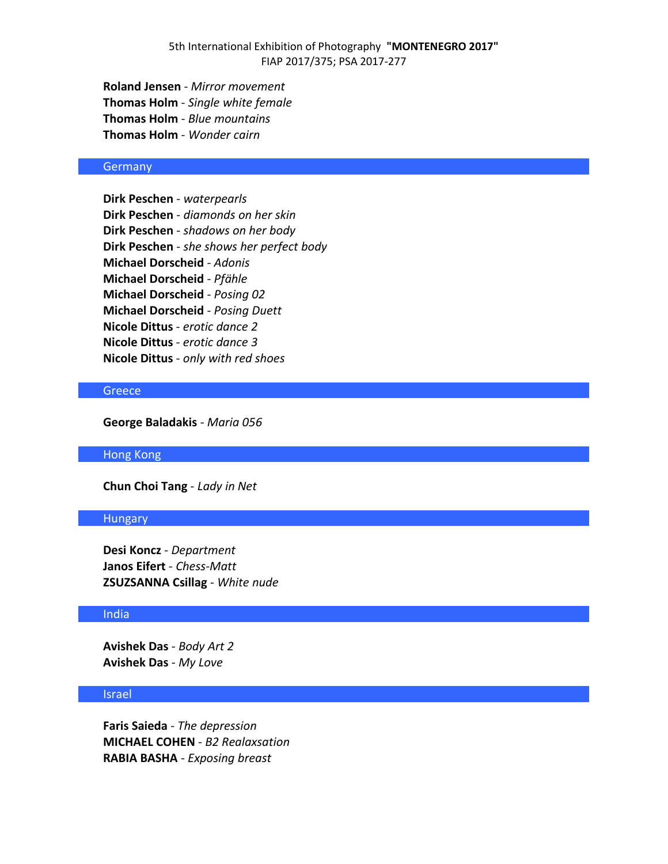**Roland Jensen** - *Mirror movement* **Thomas Holm** - *Single white female* **Thomas Holm** - *Blue mountains* **Thomas Holm** - *Wonder cairn*

### Germany

**Dirk Peschen** - *waterpearls* **Dirk Peschen** - *diamonds on her skin* **Dirk Peschen** - *shadows on her body* **Dirk Peschen** - *she shows her perfect body* **Michael Dorscheid** - *Adonis* **Michael Dorscheid** - *Pfähle* **Michael Dorscheid** - *Posing 02* **Michael Dorscheid** - *Posing Duett* **Nicole Dittus** - *erotic dance 2* **Nicole Dittus** - *erotic dance 3* **Nicole Dittus** - *only with red shoes*

## **Greece**

**George Baladakis** - *Maria 056*

Hong Kong

**Chun Choi Tang** - *Lady in Net*

#### **Hungary**

**Desi Koncz** - *Department* **Janos Eifert** - *Chess-Matt* **ZSUZSANNA Csillag** - *White nude*

## **India**

**Avishek Das** - *Body Art 2* **Avishek Das** - *My Love*

### Israel

**Faris Saieda** - *The depression* **MICHAEL COHEN** - *B2 Realaxsation* **RABIA BASHA** - *Exposing breast*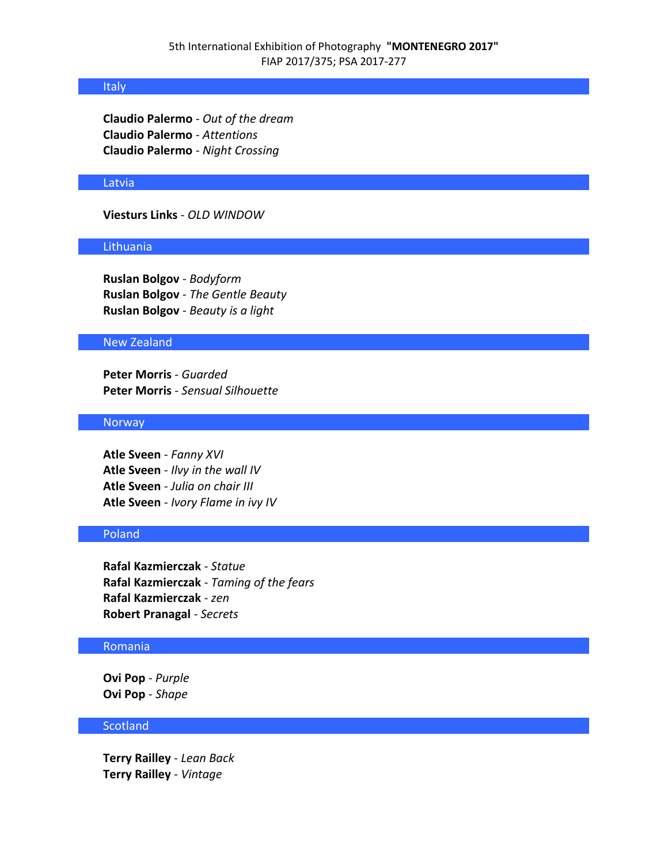### Italy

**Claudio Palermo** - *Out of the dream* **Claudio Palermo** - *Attentions* **Claudio Palermo** - *Night Crossing*

### Latvia

## **Viesturs Links** - *OLD WINDOW*

### Lithuania

**Ruslan Bolgov** - *Bodyform* **Ruslan Bolgov** - *The Gentle Beauty* **Ruslan Bolgov** - *Beauty is a light*

### New Zealand

**Peter Morris** - *Guarded* **Peter Morris** - *Sensual Silhouette*

### Norway

**Atle Sveen** - *Fanny XVI* **Atle Sveen** - *Ilvy in the wall IV* **Atle Sveen** - *Julia on chair III* **Atle Sveen** - *Ivory Flame in ivy IV*

# Poland

**Rafal Kazmierczak** - *Statue* **Rafal Kazmierczak** - *Taming of the fears* **Rafal Kazmierczak** - *zen* **Robert Pranagal** - *Secrets*

### Romania

**Ovi Pop** - *Purple* **Ovi Pop** - *Shape*

### **Scotland**

**Terry Railley** - *Lean Back* **Terry Railley** - *Vintage*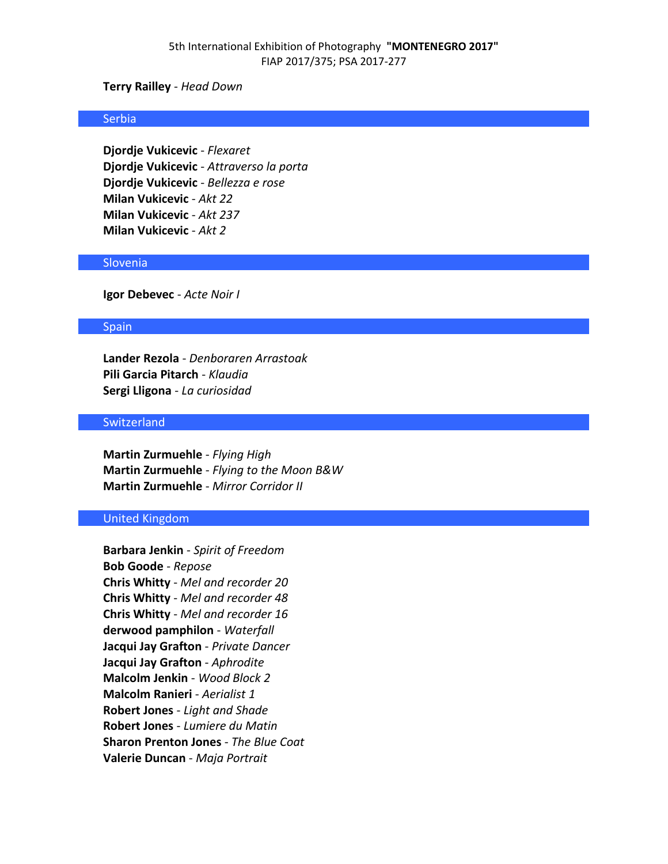### **Terry Railley** - *Head Down*

#### Serbia

**Djordje Vukicevic** - *Flexaret* **Djordje Vukicevic** - *Attraverso la porta* **Djordje Vukicevic** - *Bellezza e rose* **Milan Vukicevic** - *Akt 22* **Milan Vukicevic** - *Akt 237* **Milan Vukicevic** - *Akt 2*

#### **Slovenia**

**Igor Debevec** - *Acte Noir I*

#### **Spain**

**Lander Rezola** - *Denboraren Arrastoak* **Pili Garcia Pitarch** - *Klaudia* **Sergi Lligona** - *La curiosidad*

### **Switzerland**

**Martin Zurmuehle** - *Flying High* **Martin Zurmuehle** - *Flying to the Moon B&W* **Martin Zurmuehle** - *Mirror Corridor II*

### United Kingdom

**Barbara Jenkin** - *Spirit of Freedom* **Bob Goode** - *Repose* **Chris Whitty** - *Mel and recorder 20* **Chris Whitty** - *Mel and recorder 48* **Chris Whitty** - *Mel and recorder 16* **derwood pamphilon** - *Waterfall* **Jacqui Jay Grafton** - *Private Dancer* **Jacqui Jay Grafton** - *Aphrodite* **Malcolm Jenkin** - *Wood Block 2* **Malcolm Ranieri** - *Aerialist 1* **Robert Jones** - *Light and Shade* **Robert Jones** - *Lumiere du Matin* **Sharon Prenton Jones** - *The Blue Coat* **Valerie Duncan** - *Maja Portrait*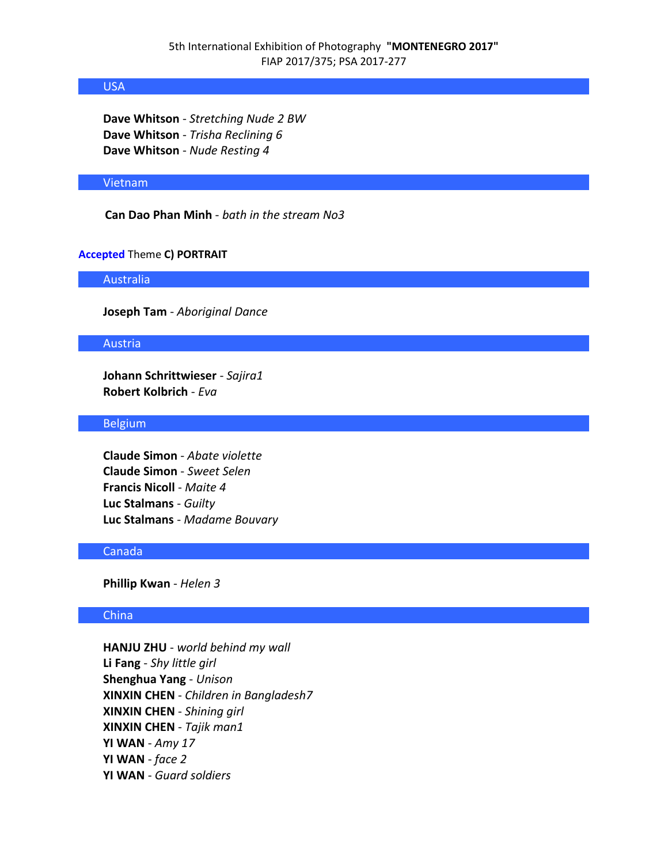## USA

**Dave Whitson** - *Stretching Nude 2 BW* **Dave Whitson** - *Trisha Reclining 6* **Dave Whitson** - *Nude Resting 4*

### Vietnam

**Can Dao Phan Minh** - *bath in the stream No3*

### **Accepted** Theme **C) PORTRAIT**

Australia

**Joseph Tam** - *Aboriginal Dance*

### Austria

**Johann Schrittwieser** - *Sajira1* **Robert Kolbrich** - *Eva*

#### **Belgium**

**Claude Simon** - *Abate violette* **Claude Simon** - *Sweet Selen* **Francis Nicoll** - *Maite 4* **Luc Stalmans** - *Guilty* **Luc Stalmans** - *Madame Bouvary*

## Canada

**Phillip Kwan** - *Helen 3*

## China

**HANJU ZHU** - *world behind my wall* **Li Fang** - *Shy little girl* **Shenghua Yang** - *Unison* **XINXIN CHEN** - *Children in Bangladesh7* **XINXIN CHEN** - *Shining girl* **XINXIN CHEN** - *Tajik man1* **YI WAN** - *Amy 17* **YI WAN** - *face 2* **YI WAN** - *Guard soldiers*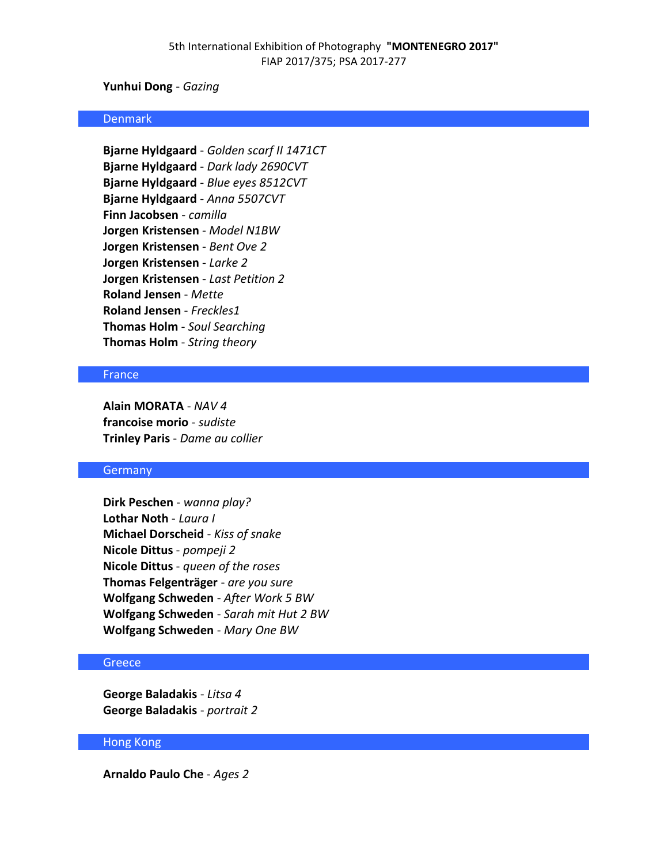## **Yunhui Dong** - *Gazing*

#### Denmark

**Bjarne Hyldgaard** - *Golden scarf II 1471CT* **Bjarne Hyldgaard** - *Dark lady 2690CVT* **Bjarne Hyldgaard** - *Blue eyes 8512CVT* **Bjarne Hyldgaard** - *Anna 5507CVT* **Finn Jacobsen** - *camilla* **Jorgen Kristensen** - *Model N1BW* **Jorgen Kristensen** - *Bent Ove 2* **Jorgen Kristensen** - *Larke 2* **Jorgen Kristensen** - *Last Petition 2* **Roland Jensen** - *Mette* **Roland Jensen** - *Freckles1* **Thomas Holm** - *Soul Searching* **Thomas Holm** - *String theory*

### **France**

**Alain MORATA** - *NAV 4* **francoise morio** - *sudiste* **Trinley Paris** - *Dame au collier*

### **Germany**

**Dirk Peschen** - *wanna play?* **Lothar Noth** - *Laura I* **Michael Dorscheid** - *Kiss of snake* **Nicole Dittus** - *pompeji 2* **Nicole Dittus** - *queen of the roses* **Thomas Felgenträger** - *are you sure* **Wolfgang Schweden** - *After Work 5 BW* **Wolfgang Schweden** - *Sarah mit Hut 2 BW* **Wolfgang Schweden** - *Mary One BW*

### **Greece**

**George Baladakis** - *Litsa 4* **George Baladakis** - *portrait 2*

### Hong Kong

**Arnaldo Paulo Che** - *Ages 2*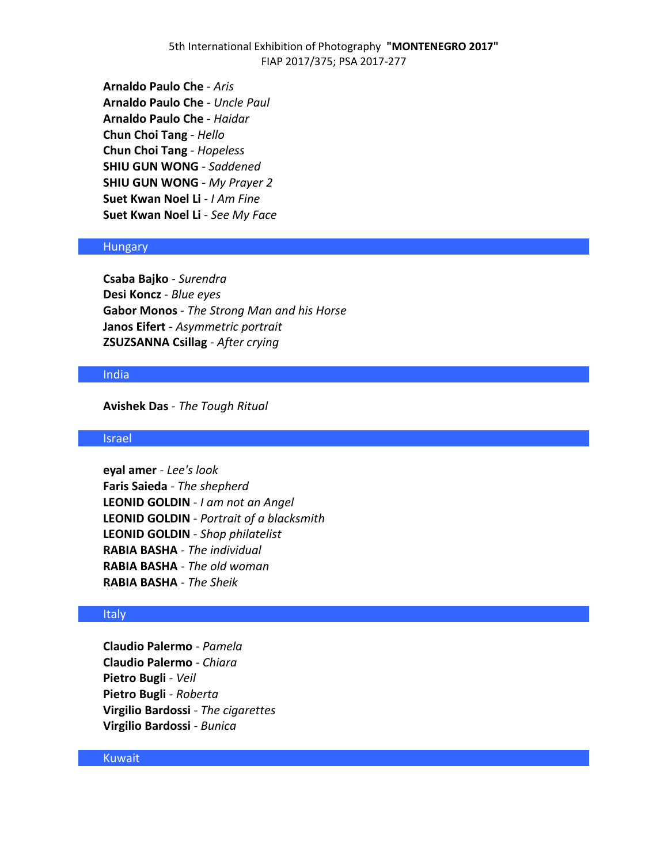5th International Exhibition of Photography **"MONTENEGRO 2017"** FIAP 2017/375; PSA 2017-277

**Arnaldo Paulo Che** - *Aris* **Arnaldo Paulo Che** - *Uncle Paul* **Arnaldo Paulo Che** - *Haidar* **Chun Choi Tang** - *Hello* **Chun Choi Tang** - *Hopeless* **SHIU GUN WONG** - *Saddened* **SHIU GUN WONG** - *My Prayer 2* **Suet Kwan Noel Li** - *I Am Fine* **Suet Kwan Noel Li** - *See My Face*

### Hungary

**Csaba Bajko** - *Surendra* **Desi Koncz** - *Blue eyes* **Gabor Monos** - *The Strong Man and his Horse* **Janos Eifert** - *Asymmetric portrait* **ZSUZSANNA Csillag** - *After crying*

#### India

**Avishek Das** - *The Tough Ritual*

### Israel

**eyal amer** - *Lee's look* **Faris Saieda** - *The shepherd* **LEONID GOLDIN** - *I am not an Angel* **LEONID GOLDIN** - *Portrait of a blacksmith* **LEONID GOLDIN** - *Shop philatelist* **RABIA BASHA** - *The individual* **RABIA BASHA** - *The old woman* **RABIA BASHA** - *The Sheik*

### Italy

**Claudio Palermo** - *Pamela* **Claudio Palermo** - *Chiara* **Pietro Bugli** - *Veil* **Pietro Bugli** - *Roberta* **Virgilio Bardossi** - *The cigarettes* **Virgilio Bardossi** - *Bunica*

### Kuwait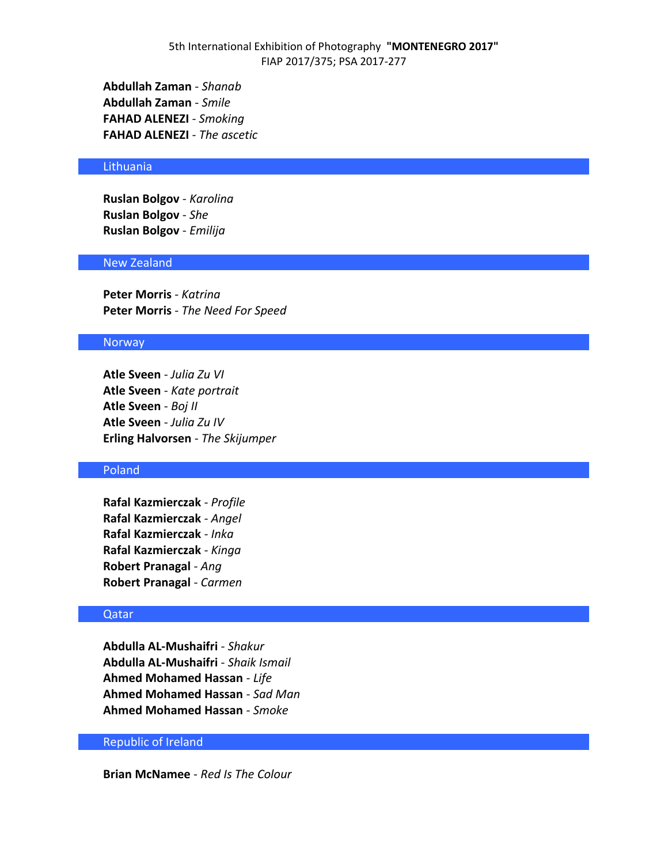**Abdullah Zaman** - *Shanab* **Abdullah Zaman** - *Smile* **FAHAD ALENEZI** - *Smoking* **FAHAD ALENEZI** - *The ascetic*

### Lithuania

**Ruslan Bolgov** - *Karolina* **Ruslan Bolgov** - *She* **Ruslan Bolgov** - *Emilija*

#### New Zealand

**Peter Morris** - *Katrina* **Peter Morris** - *The Need For Speed*

#### **Norway**

**Atle Sveen** - *Julia Zu VI* **Atle Sveen** - *Kate portrait* **Atle Sveen** - *Boj II* **Atle Sveen** - *Julia Zu IV* **Erling Halvorsen** - *The Skijumper*

## Poland

**Rafal Kazmierczak** - *Profile* **Rafal Kazmierczak** - *Angel* **Rafal Kazmierczak** - *Inka* **Rafal Kazmierczak** - *Kinga* **Robert Pranagal** - *Ang* **Robert Pranagal** - *Carmen*

#### Qatar

**Abdulla AL-Mushaifri** - *Shakur* **Abdulla AL-Mushaifri** - *Shaik Ismail* **Ahmed Mohamed Hassan** - *Life* **Ahmed Mohamed Hassan** - *Sad Man* **Ahmed Mohamed Hassan** - *Smoke*

## Republic of Ireland

**Brian McNamee** - *Red Is The Colour*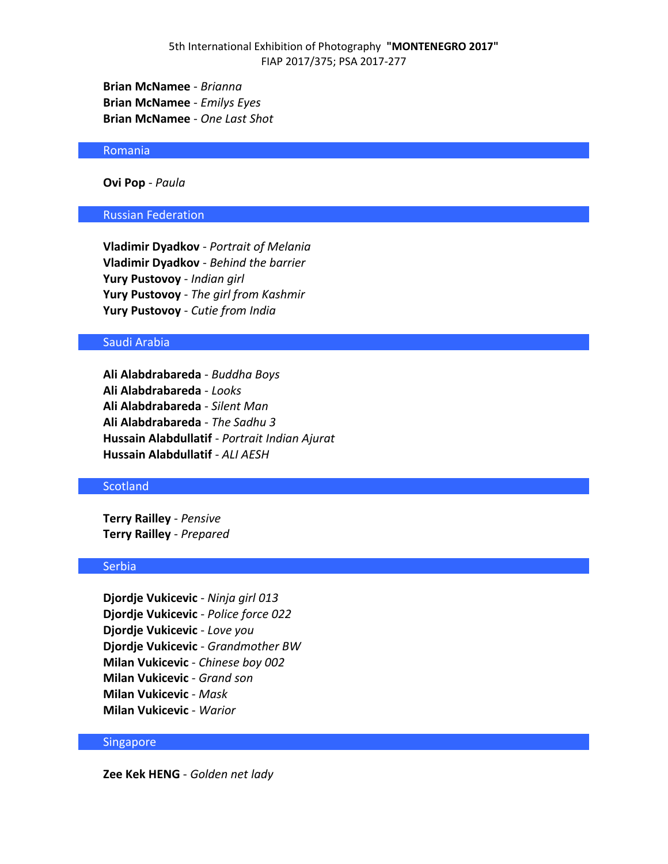**Brian McNamee** - *Brianna* **Brian McNamee** - *Emilys Eyes* **Brian McNamee** - *One Last Shot*

### Romania

**Ovi Pop** - *Paula*

## Russian Federation

**Vladimir Dyadkov** - *Portrait of Melania* **Vladimir Dyadkov** - *Behind the barrier* **Yury Pustovoy** - *Indian girl* **Yury Pustovoy** - *The girl from Kashmir* **Yury Pustovoy** - *Cutie from India*

## Saudi Arabia

**Ali Alabdrabareda** - *Buddha Boys* **Ali Alabdrabareda** - *Looks* **Ali Alabdrabareda** - *Silent Man* **Ali Alabdrabareda** - *The Sadhu 3* **Hussain Alabdullatif** - *Portrait Indian Ajurat* **Hussain Alabdullatif** - *ALI AESH*

### **Scotland**

**Terry Railley** - *Pensive* **Terry Railley** - *Prepared*

## Serbia

**Djordje Vukicevic** - *Ninja girl 013* **Djordje Vukicevic** - *Police force 022* **Djordje Vukicevic** - *Love you* **Djordje Vukicevic** - *Grandmother BW* **Milan Vukicevic** - *Chinese boy 002* **Milan Vukicevic** - *Grand son* **Milan Vukicevic** - *Mask* **Milan Vukicevic** - *Warior*

### Singapore

**Zee Kek HENG** - *Golden net lady*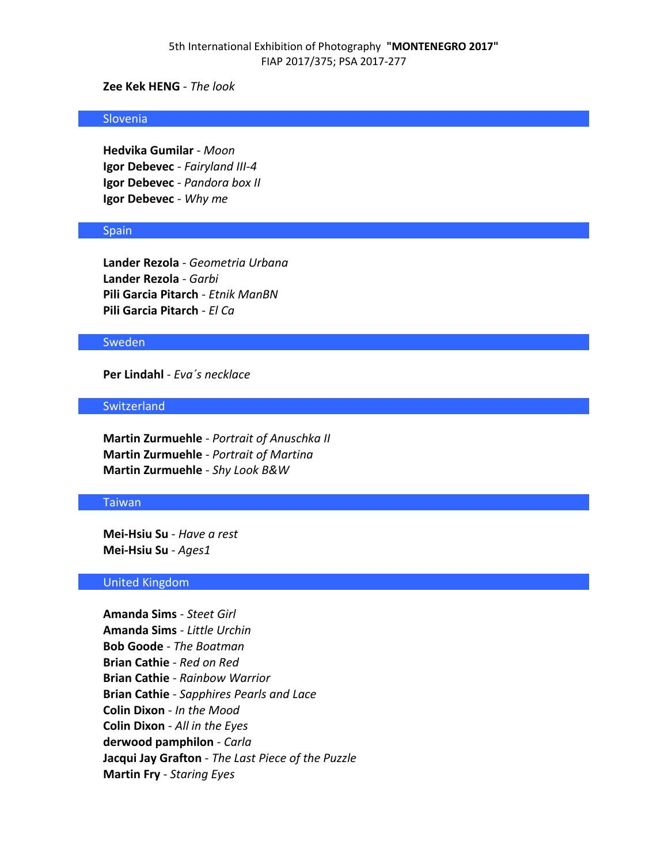## **Zee Kek HENG** - *The look*

#### Slovenia

**Hedvika Gumilar** - *Moon* **Igor Debevec** - *Fairyland III-4* **Igor Debevec** - *Pandora box II* **Igor Debevec** - *Why me*

#### Spain

**Lander Rezola** - *Geometria Urbana* **Lander Rezola** - *Garbi* **Pili Garcia Pitarch** - *Etnik ManBN* **Pili Garcia Pitarch** - *El Ca*

### **Sweden**

**Per Lindahl** - *Eva´s necklace*

#### **Switzerland**

**Martin Zurmuehle** - *Portrait of Anuschka II* **Martin Zurmuehle** - *Portrait of Martina* **Martin Zurmuehle** - *Shy Look B&W*

### Taiwan

**Mei-Hsiu Su** - *Have a rest* **Mei-Hsiu Su** - *Ages1*

### United Kingdom

**Amanda Sims** - *Steet Girl* **Amanda Sims** - *Little Urchin* **Bob Goode** - *The Boatman* **Brian Cathie** - *Red on Red* **Brian Cathie** - *Rainbow Warrior* **Brian Cathie** - *Sapphires Pearls and Lace* **Colin Dixon** - *In the Mood* **Colin Dixon** - *All in the Eyes* **derwood pamphilon** - *Carla* **Jacqui Jay Grafton** - *The Last Piece of the Puzzle* **Martin Fry** - *Staring Eyes*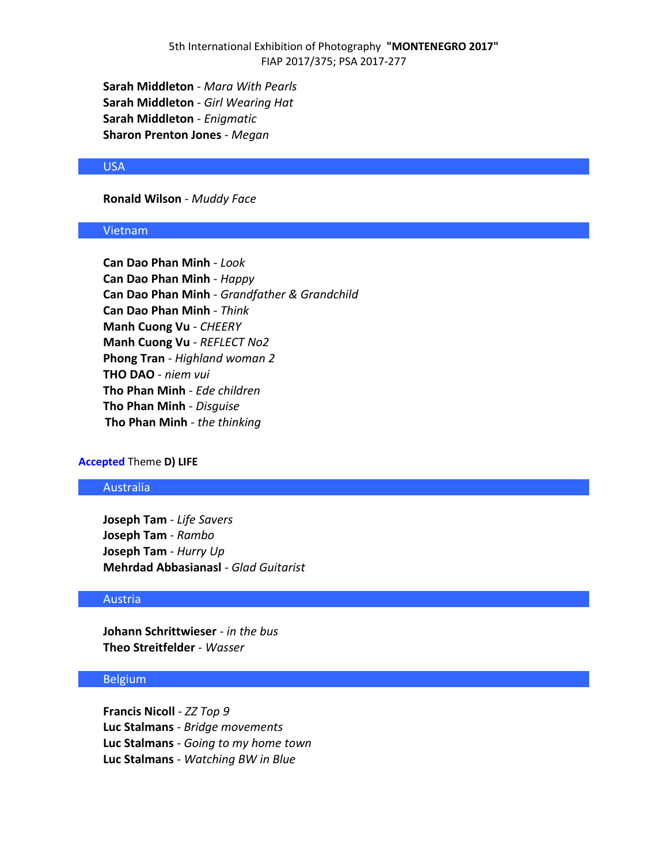**Sarah Middleton** - *Mara With Pearls* **Sarah Middleton** - *Girl Wearing Hat* **Sarah Middleton** - *Enigmatic* **Sharon Prenton Jones** - *Megan*

### USA

## **Ronald Wilson** - *Muddy Face*

### Vietnam

**Can Dao Phan Minh** - *Look* **Can Dao Phan Minh** - *Happy* **Can Dao Phan Minh** - *Grandfather & Grandchild* **Can Dao Phan Minh** - *Think* **Manh Cuong Vu** - *CHEERY* **Manh Cuong Vu** - *REFLECT No2* **Phong Tran** - *Highland woman 2* **THO DAO** - *niem vui* **Tho Phan Minh** - *Ede children* **Tho Phan Minh** - *Disguise* **Tho Phan Minh** - *the thinking*

#### **Accepted** Theme **D) LIFE**

## Australia

**Joseph Tam** - *Life Savers* **Joseph Tam** - *Rambo* **Joseph Tam** - *Hurry Up* **Mehrdad Abbasianasl** - *Glad Guitarist*

### Austria

**Johann Schrittwieser** - *in the bus* **Theo Streitfelder** - *Wasser*

#### **Belgium**

**Francis Nicoll** - *ZZ Top 9* **Luc Stalmans** - *Bridge movements* **Luc Stalmans** - *Going to my home town* **Luc Stalmans** - *Watching BW in Blue*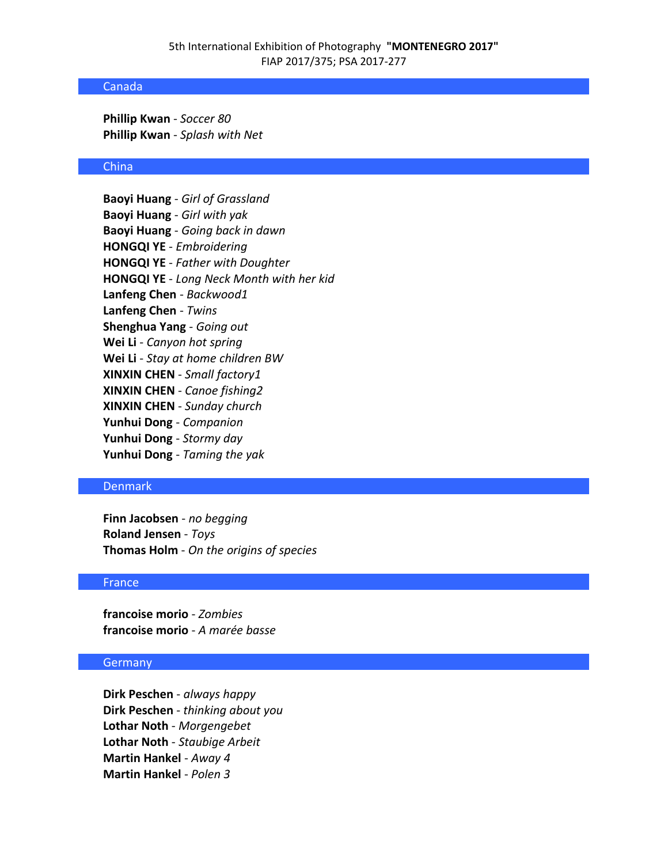### Canada

**Phillip Kwan** - *Soccer 80* **Phillip Kwan** - *Splash with Net*

#### China

**Baoyi Huang** - *Girl of Grassland* **Baoyi Huang** - *Girl with yak* **Baoyi Huang** - *Going back in dawn* **HONGQI YE** - *Embroidering* **HONGQI YE** - *Father with Doughter* **HONGQI YE** - *Long Neck Month with her kid* **Lanfeng Chen** - *Backwood1* **Lanfeng Chen** - *Twins* **Shenghua Yang** - *Going out* **Wei Li** - *Canyon hot spring* **Wei Li** - *Stay at home children BW* **XINXIN CHEN** - *Small factory1* **XINXIN CHEN** - *Canoe fishing2* **XINXIN CHEN** - *Sunday church* **Yunhui Dong** - *Companion* **Yunhui Dong** - *Stormy day* **Yunhui Dong** - *Taming the yak*

## Denmark

**Finn Jacobsen** - *no begging* **Roland Jensen** - *Toys* **Thomas Holm** - *On the origins of species*

## France

**francoise morio** - *Zombies* **francoise morio** - *A marée basse*

### Germany

**Dirk Peschen** - *always happy* **Dirk Peschen** - *thinking about you* **Lothar Noth** - *Morgengebet* **Lothar Noth** - *Staubige Arbeit* **Martin Hankel** - *Away 4* **Martin Hankel** - *Polen 3*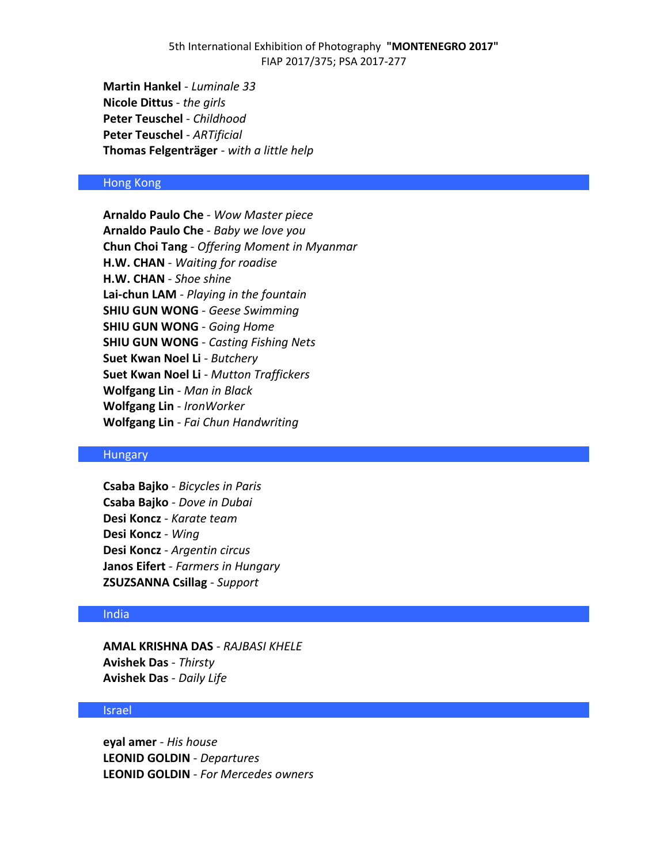## 5th International Exhibition of Photography **"MONTENEGRO 2017"** FIAP 2017/375; PSA 2017-277

**Martin Hankel** - *Luminale 33* **Nicole Dittus** - *the girls* **Peter Teuschel** - *Childhood* **Peter Teuschel** - *ARTificial* **Thomas Felgenträger** - *with a little help*

## Hong Kong

**Arnaldo Paulo Che** - *Wow Master piece* **Arnaldo Paulo Che** - *Baby we love you* **Chun Choi Tang** - *Offering Moment in Myanmar* **H.W. CHAN** - *Waiting for roadise* **H.W. CHAN** - *Shoe shine* **Lai-chun LAM** - *Playing in the fountain* **SHIU GUN WONG** - *Geese Swimming* **SHIU GUN WONG** - *Going Home* **SHIU GUN WONG** - *Casting Fishing Nets* **Suet Kwan Noel Li** - *Butchery* **Suet Kwan Noel Li** - *Mutton Traffickers* **Wolfgang Lin** - *Man in Black* **Wolfgang Lin** - *IronWorker* **Wolfgang Lin** - *Fai Chun Handwriting*

### Hungary

**Csaba Bajko** - *Bicycles in Paris* **Csaba Bajko** - *Dove in Dubai* **Desi Koncz** - *Karate team* **Desi Koncz** - *Wing* **Desi Koncz** - *Argentin circus* **Janos Eifert** - *Farmers in Hungary* **ZSUZSANNA Csillag** - *Support*

#### India

**AMAL KRISHNA DAS** - *RAJBASI KHELE* **Avishek Das** - *Thirsty* **Avishek Das** - *Daily Life*

### Israel

**eyal amer** - *His house* **LEONID GOLDIN** - *Departures* **LEONID GOLDIN** - *For Mercedes owners*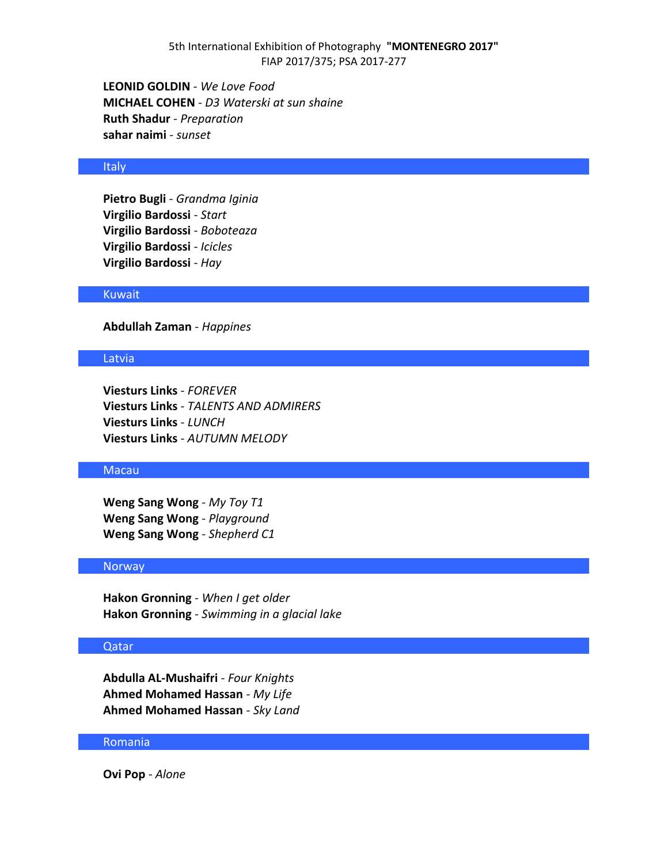**LEONID GOLDIN** - *We Love Food* **MICHAEL COHEN** - *D3 Waterski at sun shaine* **Ruth Shadur** - *Preparation* **sahar naimi** - *sunset*

#### Italy

**Pietro Bugli** - *Grandma Iginia* **Virgilio Bardossi** - *Start* **Virgilio Bardossi** - *Boboteaza* **Virgilio Bardossi** - *Icicles* **Virgilio Bardossi** - *Hay*

### Kuwait

**Abdullah Zaman** - *Happines*

### Latvia

**Viesturs Links** - *FOREVER* **Viesturs Links** - *TALENTS AND ADMIRERS* **Viesturs Links** - *LUNCH* **Viesturs Links** - *AUTUMN MELODY*

### Macau

**Weng Sang Wong** - *My Toy T1* **Weng Sang Wong** - *Playground* **Weng Sang Wong** - *Shepherd C1*

### **Norway**

**Hakon Gronning** - *When I get older* **Hakon Gronning** - *Swimming in a glacial lake*

#### Qatar

**Abdulla AL-Mushaifri** - *Four Knights* **Ahmed Mohamed Hassan** - *My Life* **Ahmed Mohamed Hassan** - *Sky Land*

### Romania

**Ovi Pop** - *Alone*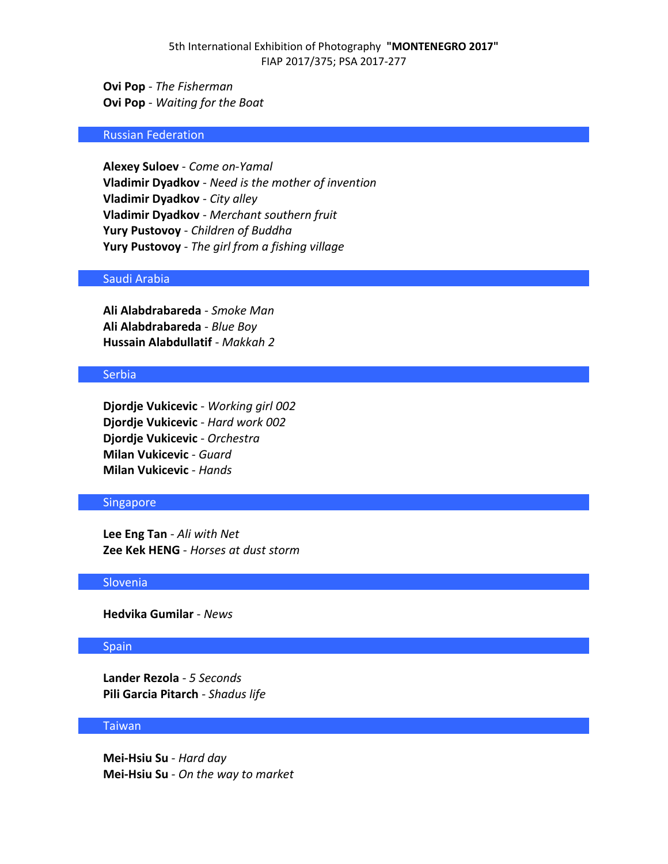**Ovi Pop** - *The Fisherman* **Ovi Pop** - *Waiting for the Boat*

### Russian Federation

**Alexey Suloev** - *Come on-Yamal* **Vladimir Dyadkov** - *Need is the mother of invention* **Vladimir Dyadkov** - *City alley* **Vladimir Dyadkov** - *Merchant southern fruit* **Yury Pustovoy** - *Children of Buddha* **Yury Pustovoy** - *The girl from a fishing village*

## Saudi Arabia

**Ali Alabdrabareda** - *Smoke Man* **Ali Alabdrabareda** - *Blue Boy* **Hussain Alabdullatif** - *Makkah 2*

### Serbia

**Djordje Vukicevic** - *Working girl 002* **Djordje Vukicevic** - *Hard work 002* **Djordje Vukicevic** - *Orchestra* **Milan Vukicevic** - *Guard* **Milan Vukicevic** - *Hands*

### Singapore

**Lee Eng Tan** - *Ali with Net* **Zee Kek HENG** - *Horses at dust storm*

### **Slovenia**

**Hedvika Gumilar** - *News*

#### Spain

**Lander Rezola** - *5 Seconds* **Pili Garcia Pitarch** - *Shadus life*

## Taiwan

**Mei-Hsiu Su** - *Hard day* **Mei-Hsiu Su** - *On the way to market*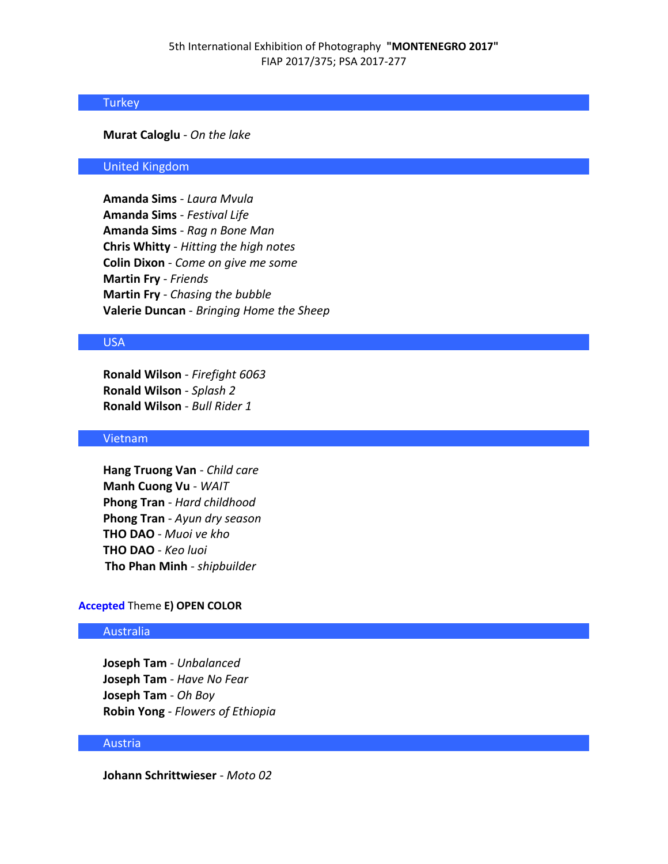### Turkey

### **Murat Caloglu** - *On the lake*

## United Kingdom

**Amanda Sims** - *Laura Mvula* **Amanda Sims** - *Festival Life* **Amanda Sims** - *Rag n Bone Man* **Chris Whitty** - *Hitting the high notes* **Colin Dixon** - *Come on give me some* **Martin Fry** - *Friends* **Martin Fry** - *Chasing the bubble* **Valerie Duncan** - *Bringing Home the Sheep*

## USA

**Ronald Wilson** - *Firefight 6063* **Ronald Wilson** - *Splash 2* **Ronald Wilson** - *Bull Rider 1*

### Vietnam

**Hang Truong Van** - *Child care* **Manh Cuong Vu** - *WAIT* **Phong Tran** - *Hard childhood* **Phong Tran** - *Ayun dry season* **THO DAO** - *Muoi ve kho* **THO DAO** - *Keo luoi* **Tho Phan Minh** - *shipbuilder*

## **Accepted** Theme **E) OPEN COLOR**

## Australia

**Joseph Tam** - *Unbalanced* **Joseph Tam** - *Have No Fear* **Joseph Tam** - *Oh Boy* **Robin Yong** - *Flowers of Ethiopia*

### Austria

**Johann Schrittwieser** - *Moto 02*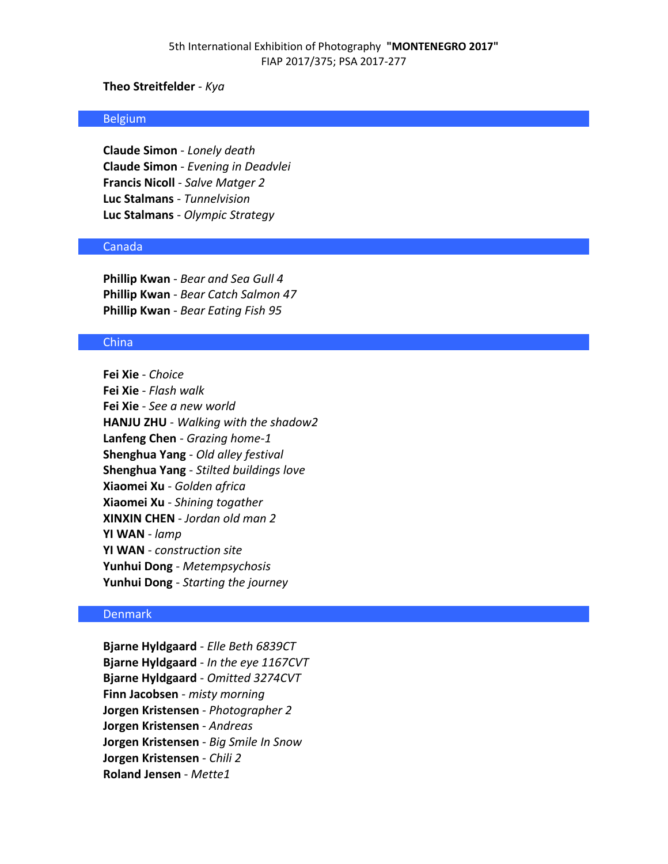## **Theo Streitfelder** - *Kya*

#### Belgium

**Claude Simon** - *Lonely death* **Claude Simon** - *Evening in Deadvlei* **Francis Nicoll** - *Salve Matger 2* **Luc Stalmans** - *Tunnelvision* **Luc Stalmans** - *Olympic Strategy*

## Canada

**Phillip Kwan** - *Bear and Sea Gull 4* **Phillip Kwan** - *Bear Catch Salmon 47* **Phillip Kwan** - *Bear Eating Fish 95*

### China

**Fei Xie** - *Choice* **Fei Xie** - *Flash walk* **Fei Xie** - *See a new world* **HANJU ZHU** - *Walking with the shadow2* **Lanfeng Chen** - *Grazing home-1* **Shenghua Yang** - *Old alley festival* **Shenghua Yang** - *Stilted buildings love* **Xiaomei Xu** - *Golden africa* **Xiaomei Xu** - *Shining togather* **XINXIN CHEN** - *Jordan old man 2* **YI WAN** - *lamp* **YI WAN** - *construction site* **Yunhui Dong** - *Metempsychosis* **Yunhui Dong** - *Starting the journey*

## Denmark

**Bjarne Hyldgaard** - *Elle Beth 6839CT* **Bjarne Hyldgaard** - *In the eye 1167CVT* **Bjarne Hyldgaard** - *Omitted 3274CVT* **Finn Jacobsen** - *misty morning* **Jorgen Kristensen** - *Photographer 2* **Jorgen Kristensen** - *Andreas* **Jorgen Kristensen** - *Big Smile In Snow* **Jorgen Kristensen** - *Chili 2* **Roland Jensen** - *Mette1*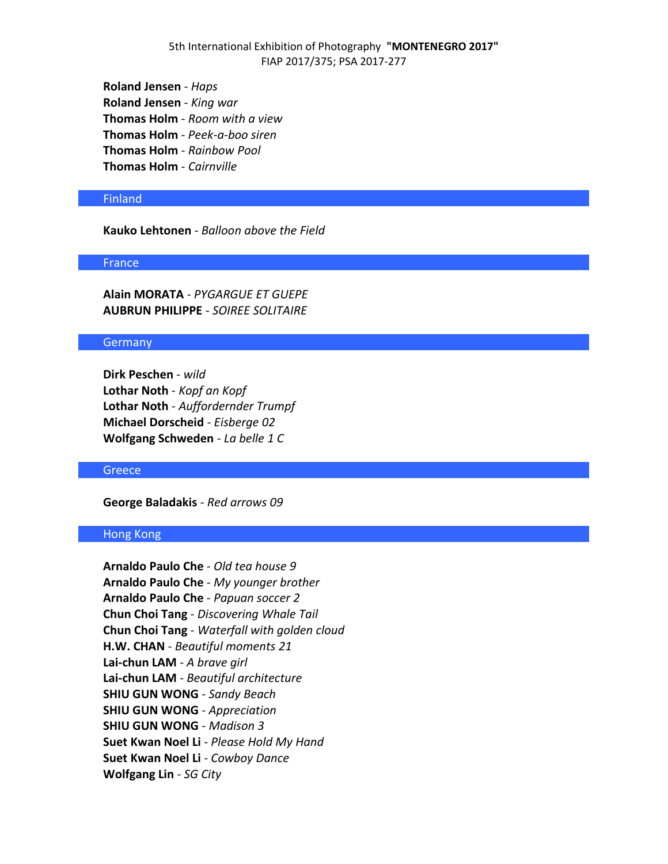**Roland Jensen** - *Haps* **Roland Jensen** - *King war* **Thomas Holm** - *Room with a view* **Thomas Holm** - *Peek-a-boo siren* **Thomas Holm** - *Rainbow Pool* **Thomas Holm** - *Cairnville*

### Finland

**Kauko Lehtonen** - *Balloon above the Field*

### France

**Alain MORATA** - *PYGARGUE ET GUEPE* **AUBRUN PHILIPPE** - *SOIREE SOLITAIRE*

#### Germany

**Dirk Peschen** - *wild* **Lothar Noth** - *Kopf an Kopf* **Lothar Noth** - *Auffordernder Trumpf* **Michael Dorscheid** - *Eisberge 02* **Wolfgang Schweden** - *La belle 1 C*

### **Greece**

**George Baladakis** - *Red arrows 09*

## Hong Kong

**Arnaldo Paulo Che** - *Old tea house 9* **Arnaldo Paulo Che** - *My younger brother* **Arnaldo Paulo Che** - *Papuan soccer 2* **Chun Choi Tang** - *Discovering Whale Tail* **Chun Choi Tang** - *Waterfall with golden cloud* **H.W. CHAN** - *Beautiful moments 21* **Lai-chun LAM** - *A brave girl* **Lai-chun LAM** - *Beautiful architecture* **SHIU GUN WONG** - *Sandy Beach* **SHIU GUN WONG** - *Appreciation* **SHIU GUN WONG** - *Madison 3* **Suet Kwan Noel Li** - *Please Hold My Hand* **Suet Kwan Noel Li** - *Cowboy Dance* **Wolfgang Lin** - *SG City*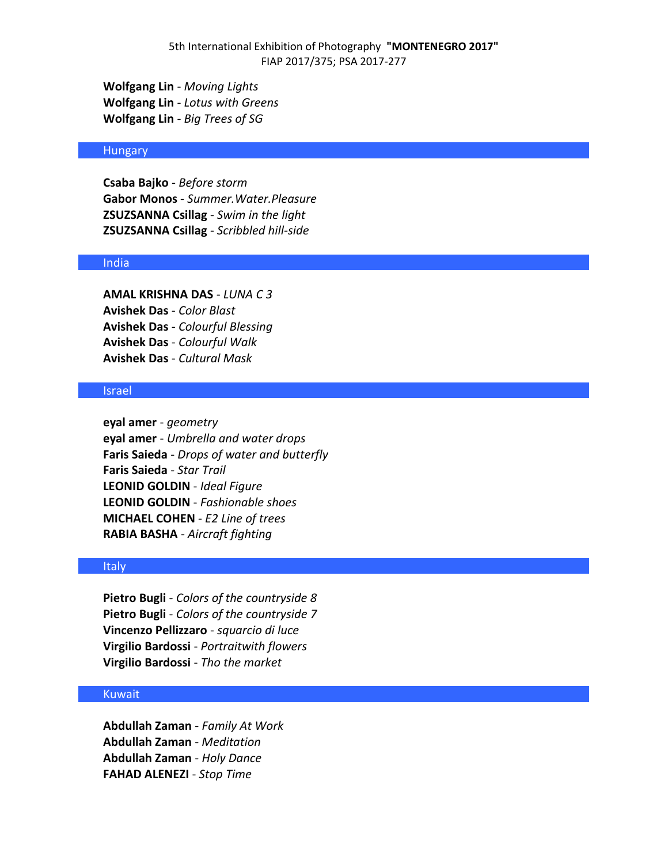**Wolfgang Lin** - *Moving Lights* **Wolfgang Lin** - *Lotus with Greens* **Wolfgang Lin** - *Big Trees of SG*

### Hungary

**Csaba Bajko** - *Before storm* **Gabor Monos** - *Summer.Water.Pleasure* **ZSUZSANNA Csillag** - *Swim in the light* **ZSUZSANNA Csillag** - *Scribbled hill-side*

### India

**AMAL KRISHNA DAS** - *LUNA C 3* **Avishek Das** - *Color Blast* **Avishek Das** - *Colourful Blessing* **Avishek Das** - *Colourful Walk* **Avishek Das** - *Cultural Mask*

## Israel

**eyal amer** - *geometry* **eyal amer** - *Umbrella and water drops* **Faris Saieda** - *Drops of water and butterfly* **Faris Saieda** - *Star Trail* **LEONID GOLDIN** - *Ideal Figure* **LEONID GOLDIN** - *Fashionable shoes* **MICHAEL COHEN** - *E2 Line of trees* **RABIA BASHA** - *Aircraft fighting*

### Italy

**Pietro Bugli** - *Colors of the countryside 8* **Pietro Bugli** - *Colors of the countryside 7* **Vincenzo Pellizzaro** - *squarcio di luce* **Virgilio Bardossi** - *Portraitwith flowers* **Virgilio Bardossi** - *Tho the market*

### Kuwait

**Abdullah Zaman** - *Family At Work* **Abdullah Zaman** - *Meditation* **Abdullah Zaman** - *Holy Dance* **FAHAD ALENEZI** - *Stop Time*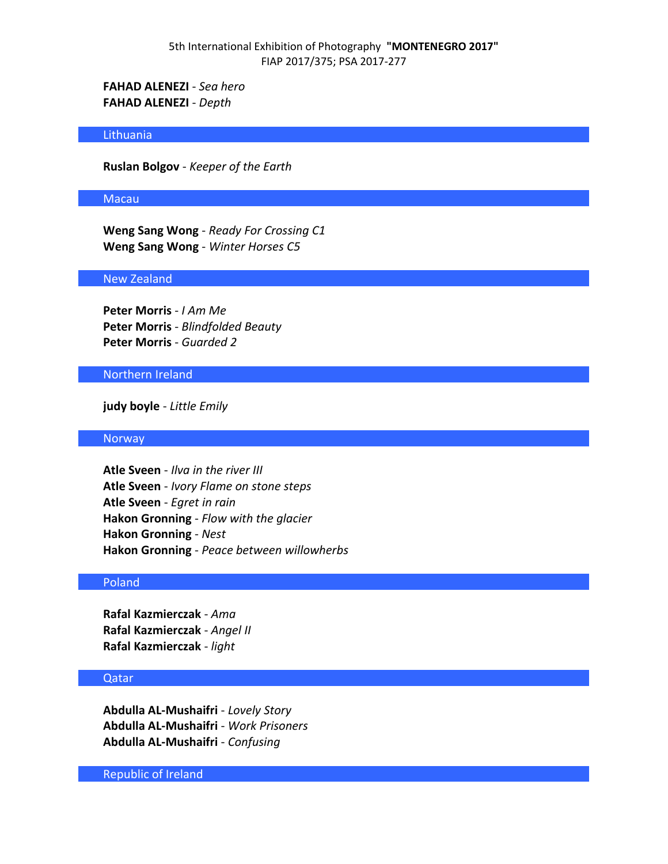**FAHAD ALENEZI** - *Sea hero* **FAHAD ALENEZI** - *Depth*

### **Lithuania**

**Ruslan Bolgov** - *Keeper of the Earth*

#### Macau

**Weng Sang Wong** - *Ready For Crossing C1* **Weng Sang Wong** - *Winter Horses C5*

### New Zealand

**Peter Morris** - *I Am Me* **Peter Morris** - *Blindfolded Beauty* **Peter Morris** - *Guarded 2*

#### Northern Ireland

**judy boyle** - *Little Emily*

### Norway

**Atle Sveen** - *Ilva in the river III* **Atle Sveen** - *Ivory Flame on stone steps* **Atle Sveen** - *Egret in rain* **Hakon Gronning** - *Flow with the glacier* **Hakon Gronning** - *Nest* **Hakon Gronning** - *Peace between willowherbs*

### Poland

**Rafal Kazmierczak** - *Ama* **Rafal Kazmierczak** - *Angel II* **Rafal Kazmierczak** - *light*

## Qatar

**Abdulla AL-Mushaifri** - *Lovely Story* **Abdulla AL-Mushaifri** - *Work Prisoners* **Abdulla AL-Mushaifri** - *Confusing*

Republic of Ireland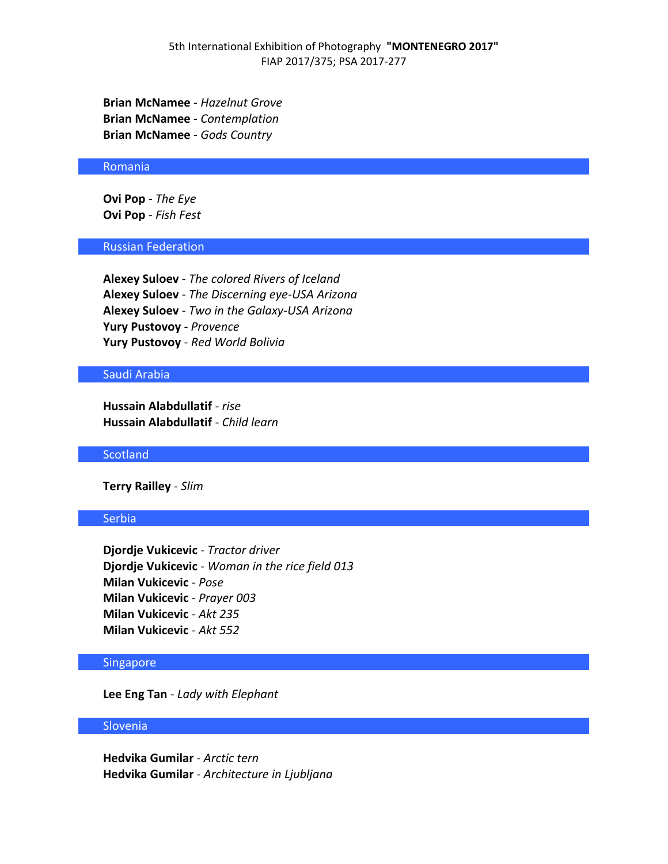**Brian McNamee** - *Hazelnut Grove* **Brian McNamee** - *Contemplation* **Brian McNamee** - *Gods Country*

#### Romania

**Ovi Pop** - *The Eye* **Ovi Pop** - *Fish Fest*

## Russian Federation

**Alexey Suloev** - *The colored Rivers of Iceland* **Alexey Suloev** - *The Discerning eye-USA Arizona* **Alexey Suloev** - *Two in the Galaxy-USA Arizona* **Yury Pustovoy** - *Provence* **Yury Pustovoy** - *Red World Bolivia*

### Saudi Arabia

**Hussain Alabdullatif** - *rise* **Hussain Alabdullatif** - *Child learn*

#### **Scotland**

**Terry Railley** - *Slim*

#### Serbia

**Djordje Vukicevic** - *Tractor driver* **Djordje Vukicevic** - *Woman in the rice field 013* **Milan Vukicevic** - *Pose* **Milan Vukicevic** - *Prayer 003* **Milan Vukicevic** - *Akt 235* **Milan Vukicevic** - *Akt 552*

### Singapore

**Lee Eng Tan** - *Lady with Elephant*

### **Slovenia**

**Hedvika Gumilar** - *Arctic tern* **Hedvika Gumilar** - *Architecture in Ljubljana*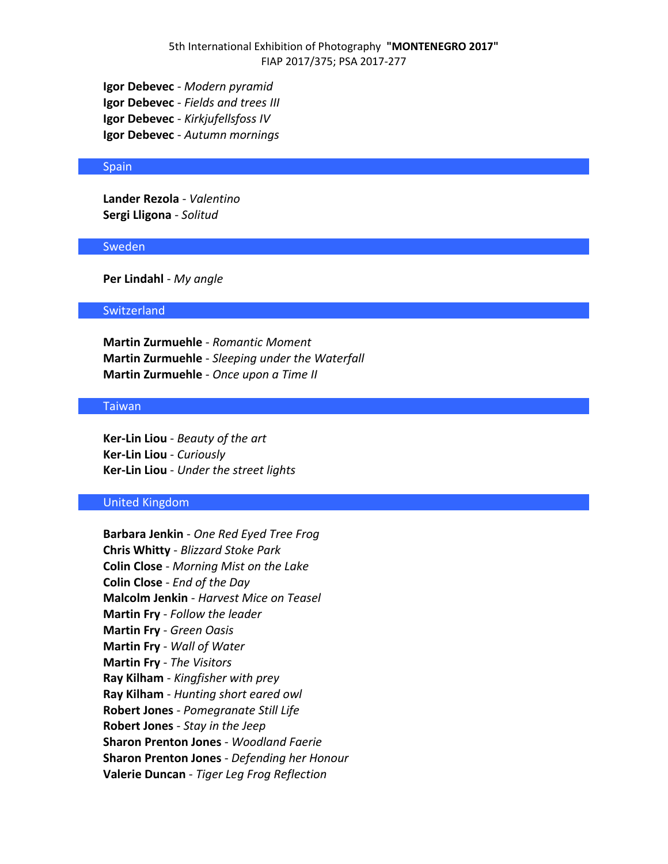**Igor Debevec** - *Modern pyramid* **Igor Debevec** - *Fields and trees III* **Igor Debevec** - *Kirkjufellsfoss IV* **Igor Debevec** - *Autumn mornings*

#### **Spain**

**Lander Rezola** - *Valentino* **Sergi Lligona** - *Solitud*

#### Sweden

**Per Lindahl** - *My angle*

#### **Switzerland**

**Martin Zurmuehle** - *Romantic Moment* **Martin Zurmuehle** - *Sleeping under the Waterfall* **Martin Zurmuehle** - *Once upon a Time II*

### **Taiwan**

**Ker-Lin Liou** - *Beauty of the art* **Ker-Lin Liou** - *Curiously* **Ker-Lin Liou** - *Under the street lights*

## United Kingdom

**Barbara Jenkin** - *One Red Eyed Tree Frog* **Chris Whitty** - *Blizzard Stoke Park* **Colin Close** - *Morning Mist on the Lake* **Colin Close** - *End of the Day* **Malcolm Jenkin** - *Harvest Mice on Teasel* **Martin Fry** - *Follow the leader* **Martin Fry** - *Green Oasis* **Martin Fry** - *Wall of Water* **Martin Fry** - *The Visitors* **Ray Kilham** - *Kingfisher with prey* **Ray Kilham** - *Hunting short eared owl* **Robert Jones** - *Pomegranate Still Life* **Robert Jones** - *Stay in the Jeep* **Sharon Prenton Jones** - *Woodland Faerie* **Sharon Prenton Jones** - *Defending her Honour* **Valerie Duncan** - *Tiger Leg Frog Reflection*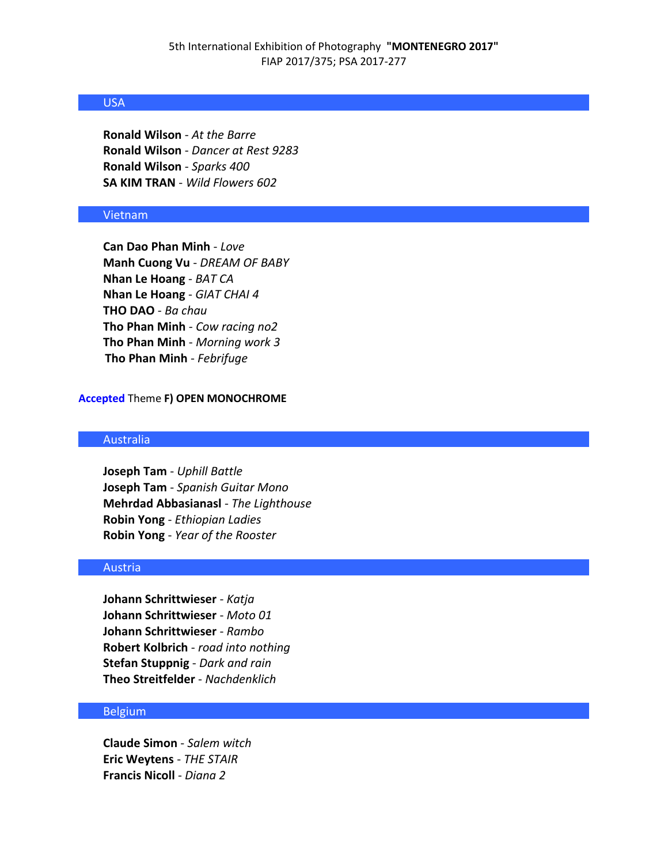## USA

**Ronald Wilson** - *At the Barre* **Ronald Wilson** - *Dancer at Rest 9283* **Ronald Wilson** - *Sparks 400* **SA KIM TRAN** - *Wild Flowers 602*

### Vietnam

**Can Dao Phan Minh** - *Love* **Manh Cuong Vu** - *DREAM OF BABY* **Nhan Le Hoang** - *BAT CA* **Nhan Le Hoang** - *GIAT CHAI 4* **THO DAO** - *Ba chau* **Tho Phan Minh** - *Cow racing no2* **Tho Phan Minh** - *Morning work 3* **Tho Phan Minh** - *Febrifuge*

### **Accepted** Theme **F) OPEN MONOCHROME**

## Australia

**Joseph Tam** - *Uphill Battle* **Joseph Tam** - *Spanish Guitar Mono* **Mehrdad Abbasianasl** - *The Lighthouse* **Robin Yong** - *Ethiopian Ladies* **Robin Yong** - *Year of the Rooster*

#### Austria

**Johann Schrittwieser** - *Katja* **Johann Schrittwieser** - *Moto 01* **Johann Schrittwieser** - *Rambo* **Robert Kolbrich** - *road into nothing* **Stefan Stuppnig** - *Dark and rain* **Theo Streitfelder** - *Nachdenklich*

### Belgium

**Claude Simon** - *Salem witch* **Eric Weytens** - *THE STAIR* **Francis Nicoll** - *Diana 2*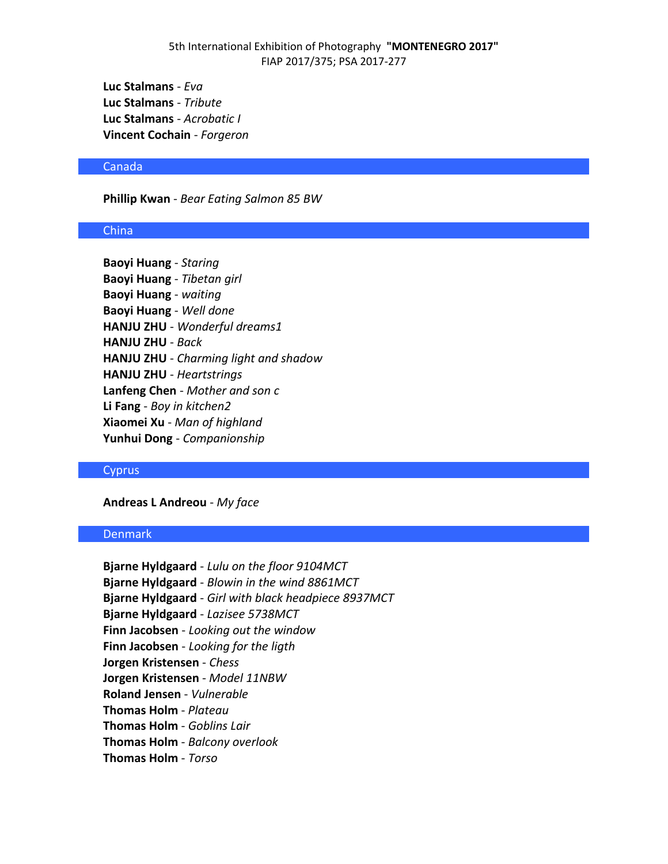**Luc Stalmans** - *Eva* **Luc Stalmans** - *Tribute* **Luc Stalmans** - *Acrobatic I* **Vincent Cochain** - *Forgeron*

#### Canada

**Phillip Kwan** - *Bear Eating Salmon 85 BW*

#### China

**Baoyi Huang** - *Staring* **Baoyi Huang** - *Tibetan girl* **Baoyi Huang** - *waiting* **Baoyi Huang** - *Well done* **HANJU ZHU** - *Wonderful dreams1* **HANJU ZHU** - *Back* **HANJU ZHU** - *Charming light and shadow* **HANJU ZHU** - *Heartstrings* **Lanfeng Chen** - *Mother and son c* **Li Fang** - *Boy in kitchen2* **Xiaomei Xu** - *Man of highland* **Yunhui Dong** - *Companionship*

#### **Cyprus**

**Andreas L Andreou** - *My face*

## Denmark

**Bjarne Hyldgaard** - *Lulu on the floor 9104MCT* **Bjarne Hyldgaard** - *Blowin in the wind 8861MCT* **Bjarne Hyldgaard** - *Girl with black headpiece 8937MCT* **Bjarne Hyldgaard** - *Lazisee 5738MCT* **Finn Jacobsen** - *Looking out the window* **Finn Jacobsen** - *Looking for the ligth* **Jorgen Kristensen** - *Chess* **Jorgen Kristensen** - *Model 11NBW* **Roland Jensen** - *Vulnerable* **Thomas Holm** - *Plateau* **Thomas Holm** - *Goblins Lair* **Thomas Holm** - *Balcony overlook* **Thomas Holm** - *Torso*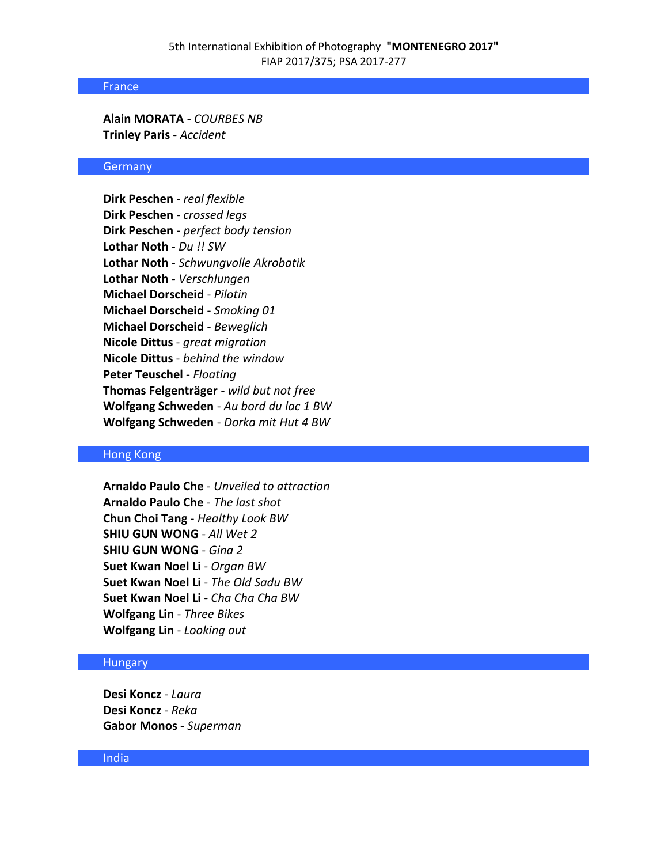#### France

**Alain MORATA** - *COURBES NB* **Trinley Paris** - *Accident*

### **Germany**

**Dirk Peschen** - *real flexible* **Dirk Peschen** - *crossed legs* **Dirk Peschen** - *perfect body tension* **Lothar Noth** - *Du !! SW* **Lothar Noth** - *Schwungvolle Akrobatik* **Lothar Noth** - *Verschlungen* **Michael Dorscheid** - *Pilotin* **Michael Dorscheid** - *Smoking 01* **Michael Dorscheid** - *Beweglich* **Nicole Dittus** - *great migration* **Nicole Dittus** - *behind the window* **Peter Teuschel** - *Floating* **Thomas Felgenträger** - *wild but not free* **Wolfgang Schweden** - *Au bord du lac 1 BW* **Wolfgang Schweden** - *Dorka mit Hut 4 BW*

#### Hong Kong

**Arnaldo Paulo Che** - *Unveiled to attraction* **Arnaldo Paulo Che** - *The last shot* **Chun Choi Tang** - *Healthy Look BW* **SHIU GUN WONG** - *All Wet 2* **SHIU GUN WONG** - *Gina 2* **Suet Kwan Noel Li** - *Organ BW* **Suet Kwan Noel Li** - *The Old Sadu BW* **Suet Kwan Noel Li** - *Cha Cha Cha BW* **Wolfgang Lin** - *Three Bikes* **Wolfgang Lin** - *Looking out*

#### Hungary

**Desi Koncz** - *Laura* **Desi Koncz** - *Reka* **Gabor Monos** - *Superman*

### India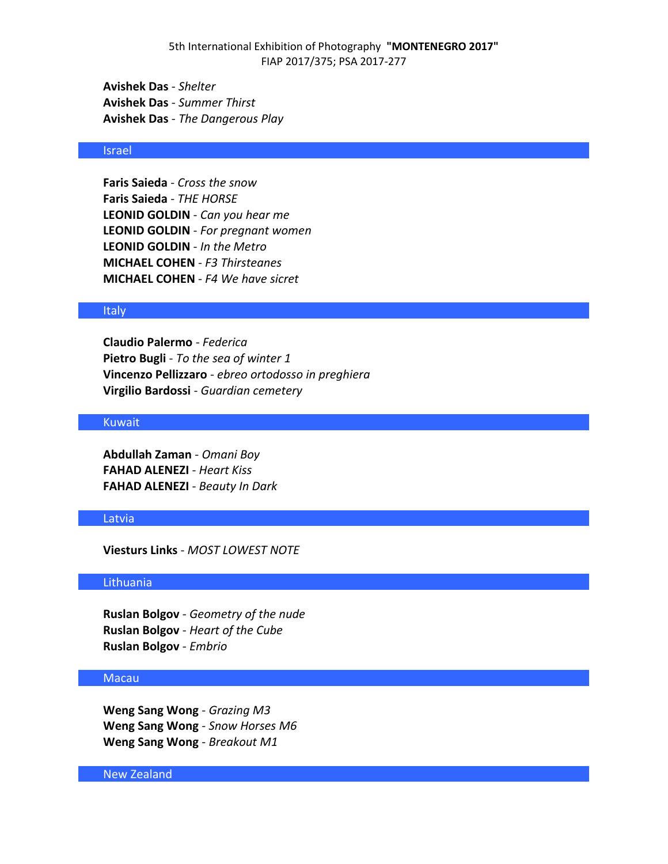**Avishek Das** - *Shelter* **Avishek Das** - *Summer Thirst* **Avishek Das** - *The Dangerous Play*

## Israel

**Faris Saieda** - *Cross the snow* **Faris Saieda** - *THE HORSE* **LEONID GOLDIN** - *Can you hear me* **LEONID GOLDIN** - *For pregnant women* **LEONID GOLDIN** - *In the Metro* **MICHAEL COHEN** - *F3 Thirsteanes* **MICHAEL COHEN** - *F4 We have sicret*

#### **Italy**

**Claudio Palermo** - *Federica* **Pietro Bugli** - *To the sea of winter 1* **Vincenzo Pellizzaro** - *ebreo ortodosso in preghiera* **Virgilio Bardossi** - *Guardian cemetery*

## Kuwait

**Abdullah Zaman** - *Omani Boy* **FAHAD ALENEZI** - *Heart Kiss* **FAHAD ALENEZI** - *Beauty In Dark*

#### Latvia

**Viesturs Links** - *MOST LOWEST NOTE*

#### Lithuania

**Ruslan Bolgov** - *Geometry of the nude* **Ruslan Bolgov** - *Heart of the Cube* **Ruslan Bolgov** - *Embrio*

### Macau

**Weng Sang Wong** - *Grazing M3* **Weng Sang Wong** - *Snow Horses M6* **Weng Sang Wong** - *Breakout M1*

New Zealand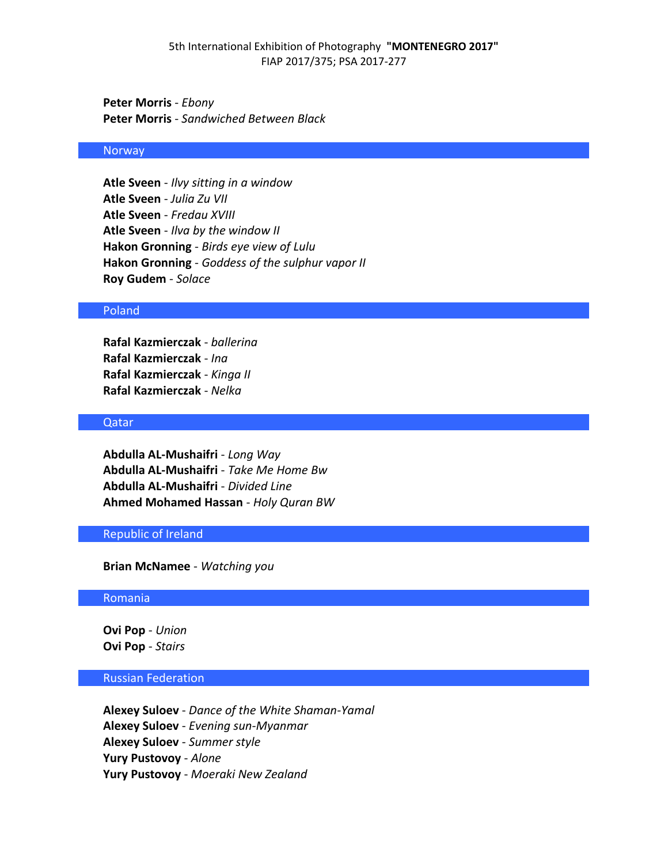**Peter Morris** - *Ebony* **Peter Morris** - *Sandwiched Between Black*

## Norway

**Atle Sveen** - *Ilvy sitting in a window* **Atle Sveen** - *Julia Zu VII* **Atle Sveen** - *Fredau XVIII* **Atle Sveen** - *Ilva by the window II* **Hakon Gronning** - *Birds eye view of Lulu* **Hakon Gronning** - *Goddess of the sulphur vapor II* **Roy Gudem** - *Solace*

### Poland

**Rafal Kazmierczak** - *ballerina* **Rafal Kazmierczak** - *Ina* **Rafal Kazmierczak** - *Kinga II* **Rafal Kazmierczak** - *Nelka*

### Qatar

**Abdulla AL-Mushaifri** - *Long Way* **Abdulla AL-Mushaifri** - *Take Me Home Bw* **Abdulla AL-Mushaifri** - *Divided Line* **Ahmed Mohamed Hassan** - *Holy Quran BW*

# Republic of Ireland

**Brian McNamee** - *Watching you*

#### Romania

**Ovi Pop** - *Union* **Ovi Pop** - *Stairs*

## Russian Federation

**Alexey Suloev** - *Dance of the White Shaman-Yamal* **Alexey Suloev** - *Evening sun-Myanmar* **Alexey Suloev** - *Summer style* **Yury Pustovoy** - *Alone* **Yury Pustovoy** - *Moeraki New Zealand*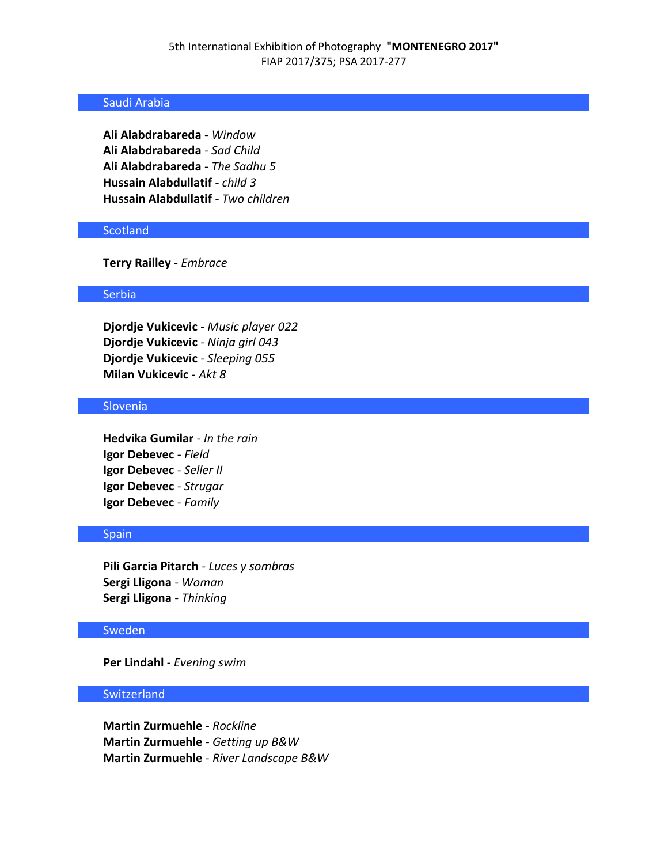## Saudi Arabia

**Ali Alabdrabareda** - *Window* **Ali Alabdrabareda** - *Sad Child* **Ali Alabdrabareda** - *The Sadhu 5* **Hussain Alabdullatif** - *child 3* **Hussain Alabdullatif** - *Two children*

## **Scotland**

**Terry Railley** - *Embrace*

### **Serbia**

**Djordje Vukicevic** - *Music player 022* **Djordje Vukicevic** - *Ninja girl 043* **Djordje Vukicevic** - *Sleeping 055* **Milan Vukicevic** - *Akt 8*

### **Slovenia**

**Hedvika Gumilar** - *In the rain* **Igor Debevec** - *Field* **Igor Debevec** - *Seller II* **Igor Debevec** - *Strugar* **Igor Debevec** - *Family*

## Spain

**Pili Garcia Pitarch** - *Luces y sombras* **Sergi Lligona** - *Woman* **Sergi Lligona** - *Thinking*

### Sweden

**Per Lindahl** - *Evening swim*

## Switzerland

**Martin Zurmuehle** - *Rockline* **Martin Zurmuehle** - *Getting up B&W* **Martin Zurmuehle** - *River Landscape B&W*